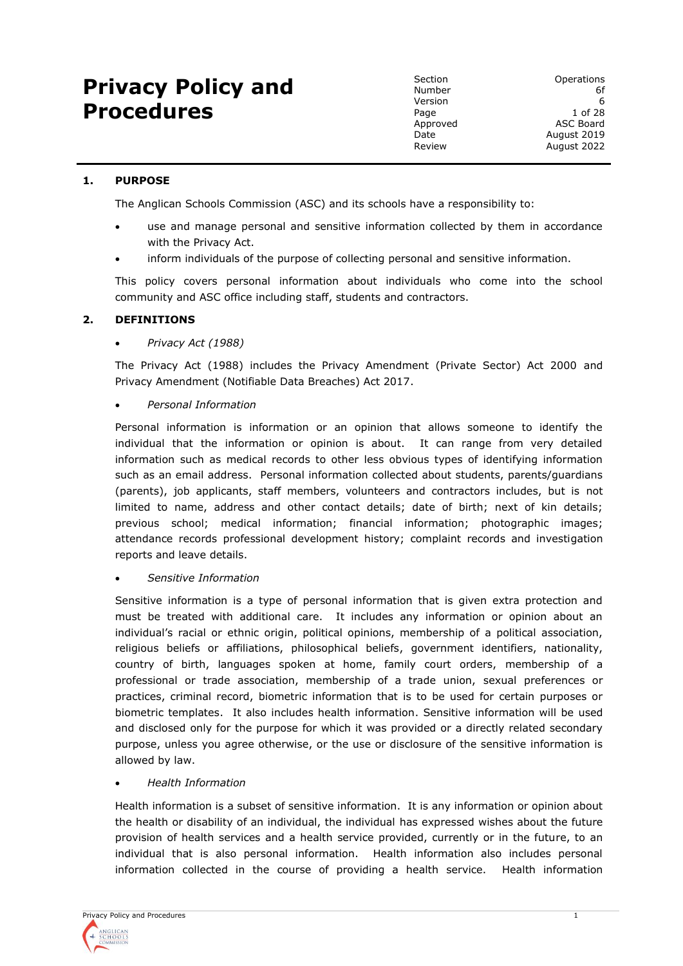# **Privacy Policy and Procedures**

# **1. PURPOSE**

The Anglican Schools Commission (ASC) and its schools have a responsibility to:

- use and manage personal and sensitive information collected by them in accordance with the Privacy Act.
- inform individuals of the purpose of collecting personal and sensitive information.

This policy covers personal information about individuals who come into the school community and ASC office including staff, students and contractors.

# **2. DEFINITIONS**

# • *Privacy Act (1988)*

The Privacy Act (1988) includes the Privacy Amendment (Private Sector) Act 2000 and Privacy Amendment (Notifiable Data Breaches) Act 2017.

# • *Personal Information*

Personal information is information or an opinion that allows someone to identify the individual that the information or opinion is about. It can range from very detailed information such as medical records to other less obvious types of identifying information such as an email address. Personal information collected about students, parents/guardians (parents), job applicants, staff members, volunteers and contractors includes, but is not limited to name, address and other contact details; date of birth; next of kin details; previous school; medical information; financial information; photographic images; attendance records professional development history; complaint records and investigation reports and leave details.

# • *Sensitive Information*

Sensitive information is a type of personal information that is given extra protection and must be treated with additional care. It includes any information or opinion about an individual's racial or ethnic origin, political opinions, membership of a political association, religious beliefs or affiliations, philosophical beliefs, government identifiers, nationality, country of birth, languages spoken at home, family court orders, membership of a professional or trade association, membership of a trade union, sexual preferences or practices, criminal record, biometric information that is to be used for certain purposes or biometric templates. It also includes health information. Sensitive information will be used and disclosed only for the purpose for which it was provided or a directly related secondary purpose, unless you agree otherwise, or the use or disclosure of the sensitive information is allowed by law.

# • *Health Information*

Health information is a subset of sensitive information. It is any information or opinion about the health or disability of an individual, the individual has expressed wishes about the future provision of health services and a health service provided, currently or in the future, to an individual that is also personal information. Health information also includes personal information collected in the course of providing a health service. Health information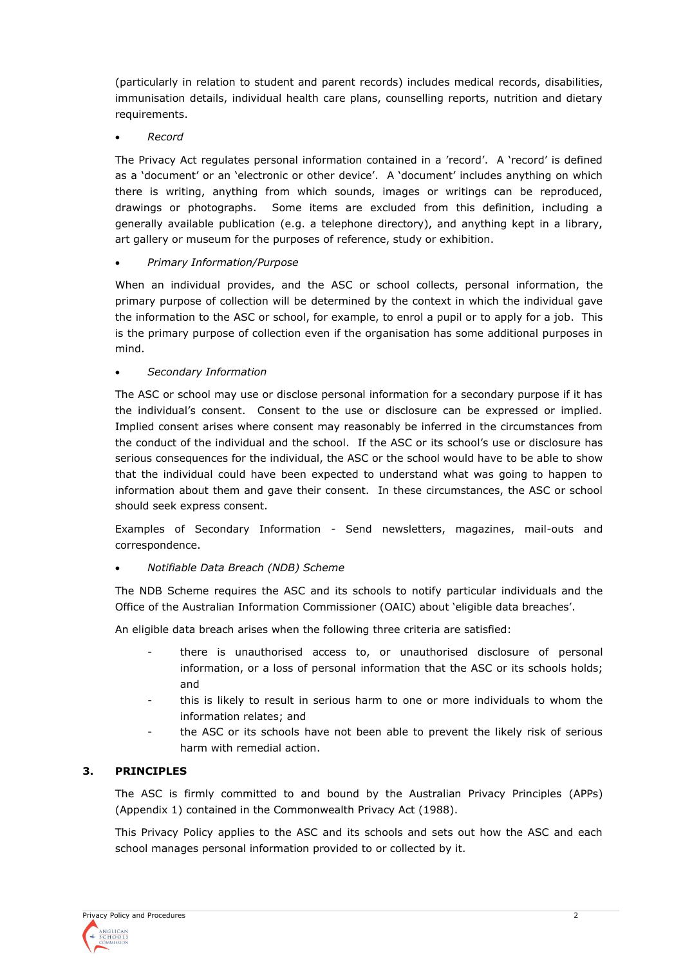(particularly in relation to student and parent records) includes medical records, disabilities, immunisation details, individual health care plans, counselling reports, nutrition and dietary requirements.

• *Record*

The Privacy Act regulates personal information contained in a 'record'. A 'record' is defined as a 'document' or an 'electronic or other device'. A 'document' includes anything on which there is writing, anything from which sounds, images or writings can be reproduced, drawings or photographs. Some items are excluded from this definition, including a generally available publication (e.g. a telephone directory), and anything kept in a library, art gallery or museum for the purposes of reference, study or exhibition.

#### • *Primary Information/Purpose*

When an individual provides, and the ASC or school collects, personal information, the primary purpose of collection will be determined by the context in which the individual gave the information to the ASC or school, for example, to enrol a pupil or to apply for a job. This is the primary purpose of collection even if the organisation has some additional purposes in mind.

#### • *Secondary Information*

The ASC or school may use or disclose personal information for a secondary purpose if it has the individual's consent. Consent to the use or disclosure can be expressed or implied. Implied consent arises where consent may reasonably be inferred in the circumstances from the conduct of the individual and the school. If the ASC or its school's use or disclosure has serious consequences for the individual, the ASC or the school would have to be able to show that the individual could have been expected to understand what was going to happen to information about them and gave their consent. In these circumstances, the ASC or school should seek express consent.

Examples of Secondary Information - Send newsletters, magazines, mail-outs and correspondence.

# • *Notifiable Data Breach (NDB) Scheme*

The NDB Scheme requires the ASC and its schools to notify particular individuals and the Office of the Australian Information Commissioner (OAIC) about 'eligible data breaches'.

An eligible data breach arises when the following three criteria are satisfied:

- there is unauthorised access to, or unauthorised disclosure of personal information, or a loss of personal information that the ASC or its schools holds; and
- this is likely to result in serious harm to one or more individuals to whom the information relates; and
- the ASC or its schools have not been able to prevent the likely risk of serious harm with remedial action.

# **3. PRINCIPLES**

The ASC is firmly committed to and bound by the Australian Privacy Principles (APPs) (Appendix 1) contained in the Commonwealth Privacy Act (1988).

This Privacy Policy applies to the ASC and its schools and sets out how the ASC and each school manages personal information provided to or collected by it.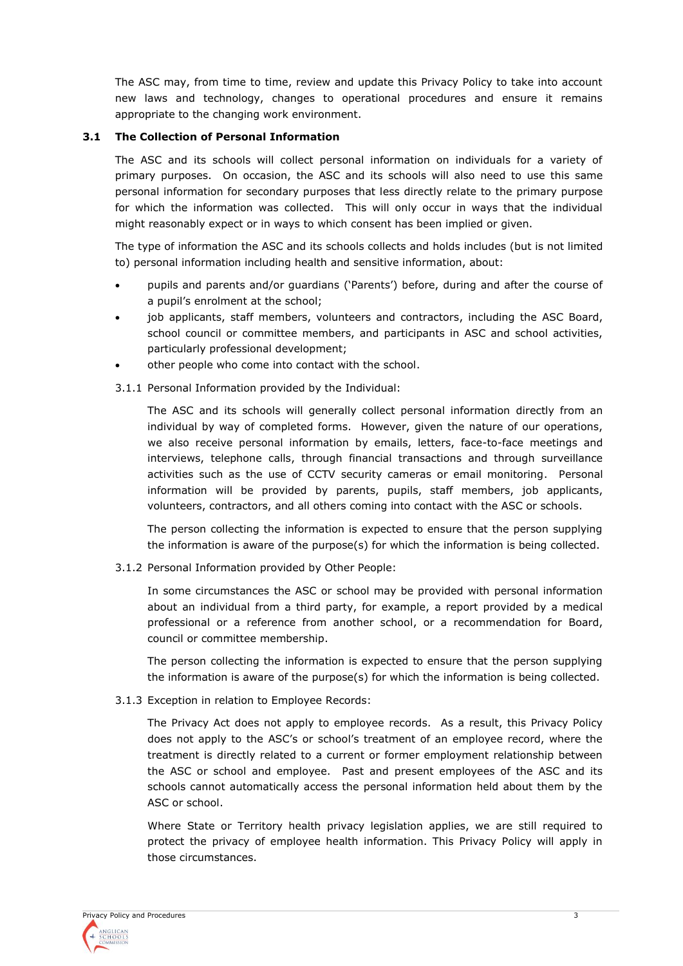The ASC may, from time to time, review and update this Privacy Policy to take into account new laws and technology, changes to operational procedures and ensure it remains appropriate to the changing work environment.

#### **3.1 The Collection of Personal Information**

The ASC and its schools will collect personal information on individuals for a variety of primary purposes. On occasion, the ASC and its schools will also need to use this same personal information for secondary purposes that less directly relate to the primary purpose for which the information was collected. This will only occur in ways that the individual might reasonably expect or in ways to which consent has been implied or given.

The type of information the ASC and its schools collects and holds includes (but is not limited to) personal information including health and sensitive information, about:

- pupils and parents and/or guardians ('Parents') before, during and after the course of a pupil's enrolment at the school;
- job applicants, staff members, volunteers and contractors, including the ASC Board, school council or committee members, and participants in ASC and school activities, particularly professional development;
- other people who come into contact with the school.
- 3.1.1 Personal Information provided by the Individual:

The ASC and its schools will generally collect personal information directly from an individual by way of completed forms. However, given the nature of our operations, we also receive personal information by emails, letters, face-to-face meetings and interviews, telephone calls, through financial transactions and through surveillance activities such as the use of CCTV security cameras or email monitoring. Personal information will be provided by parents, pupils, staff members, job applicants, volunteers, contractors, and all others coming into contact with the ASC or schools.

The person collecting the information is expected to ensure that the person supplying the information is aware of the purpose(s) for which the information is being collected.

3.1.2 Personal Information provided by Other People:

In some circumstances the ASC or school may be provided with personal information about an individual from a third party, for example, a report provided by a medical professional or a reference from another school, or a recommendation for Board, council or committee membership.

The person collecting the information is expected to ensure that the person supplying the information is aware of the purpose(s) for which the information is being collected.

3.1.3 Exception in relation to Employee Records:

The Privacy Act does not apply to employee records. As a result, this Privacy Policy does not apply to the ASC's or school's treatment of an employee record, where the treatment is directly related to a current or former employment relationship between the ASC or school and employee. Past and present employees of the ASC and its schools cannot automatically access the personal information held about them by the ASC or school.

Where State or Territory health privacy legislation applies, we are still required to protect the privacy of employee health information. This Privacy Policy will apply in those circumstances.

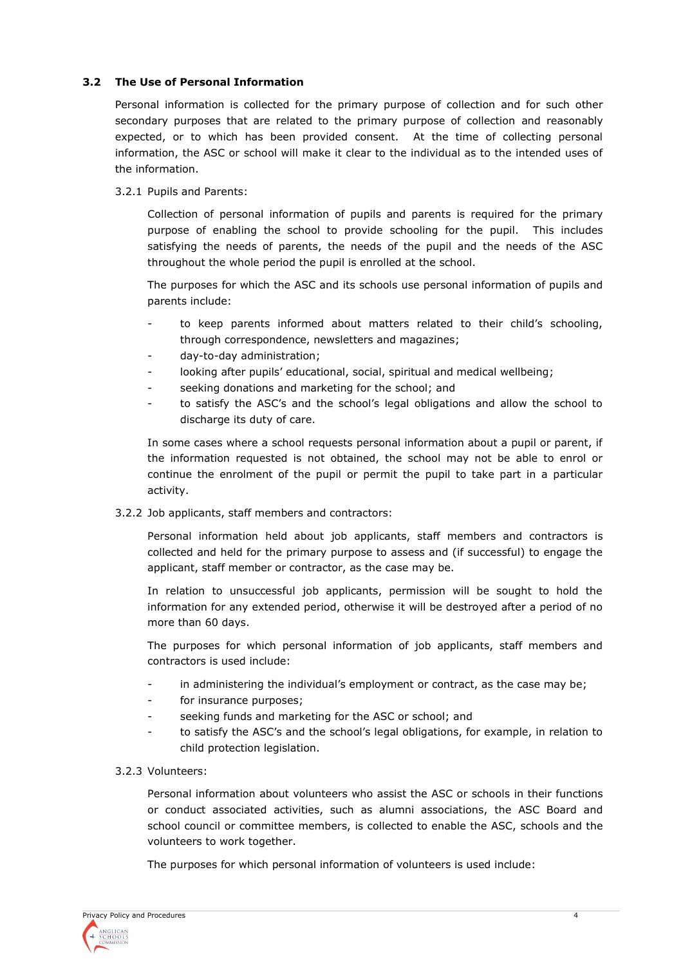# **3.2 The Use of Personal Information**

Personal information is collected for the primary purpose of collection and for such other secondary purposes that are related to the primary purpose of collection and reasonably expected, or to which has been provided consent. At the time of collecting personal information, the ASC or school will make it clear to the individual as to the intended uses of the information.

3.2.1 Pupils and Parents:

Collection of personal information of pupils and parents is required for the primary purpose of enabling the school to provide schooling for the pupil. This includes satisfying the needs of parents, the needs of the pupil and the needs of the ASC throughout the whole period the pupil is enrolled at the school.

The purposes for which the ASC and its schools use personal information of pupils and parents include:

- to keep parents informed about matters related to their child's schooling, through correspondence, newsletters and magazines;
- day-to-day administration;
- looking after pupils' educational, social, spiritual and medical wellbeing;
- seeking donations and marketing for the school; and
- to satisfy the ASC's and the school's legal obligations and allow the school to discharge its duty of care.

In some cases where a school requests personal information about a pupil or parent, if the information requested is not obtained, the school may not be able to enrol or continue the enrolment of the pupil or permit the pupil to take part in a particular activity.

3.2.2 Job applicants, staff members and contractors:

Personal information held about job applicants, staff members and contractors is collected and held for the primary purpose to assess and (if successful) to engage the applicant, staff member or contractor, as the case may be.

In relation to unsuccessful job applicants, permission will be sought to hold the information for any extended period, otherwise it will be destroyed after a period of no more than 60 days.

The purposes for which personal information of job applicants, staff members and contractors is used include:

- in administering the individual's employment or contract, as the case may be;
- for insurance purposes;
- seeking funds and marketing for the ASC or school; and
- to satisfy the ASC's and the school's legal obligations, for example, in relation to child protection legislation.

#### 3.2.3 Volunteers:

Personal information about volunteers who assist the ASC or schools in their functions or conduct associated activities, such as alumni associations, the ASC Board and school council or committee members, is collected to enable the ASC, schools and the volunteers to work together.

The purposes for which personal information of volunteers is used include:

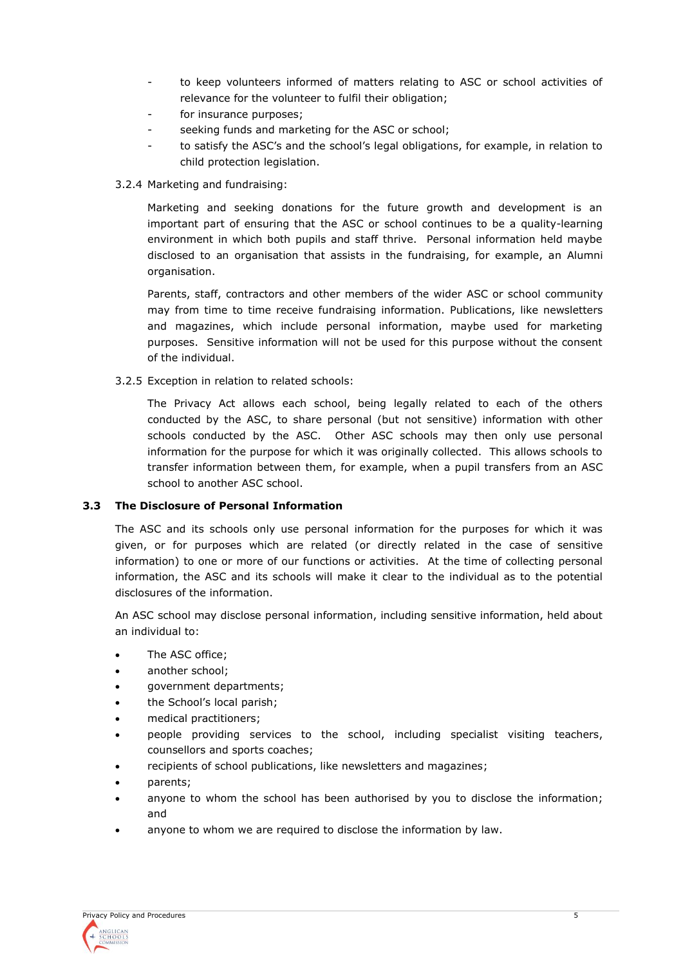- to keep volunteers informed of matters relating to ASC or school activities of relevance for the volunteer to fulfil their obligation;
- for insurance purposes;
- seeking funds and marketing for the ASC or school;
- to satisfy the ASC's and the school's legal obligations, for example, in relation to child protection legislation.
- 3.2.4 Marketing and fundraising:

Marketing and seeking donations for the future growth and development is an important part of ensuring that the ASC or school continues to be a quality-learning environment in which both pupils and staff thrive. Personal information held maybe disclosed to an organisation that assists in the fundraising, for example, an Alumni organisation.

Parents, staff, contractors and other members of the wider ASC or school community may from time to time receive fundraising information. Publications, like newsletters and magazines, which include personal information, maybe used for marketing purposes. Sensitive information will not be used for this purpose without the consent of the individual.

3.2.5 Exception in relation to related schools:

The Privacy Act allows each school, being legally related to each of the others conducted by the ASC, to share personal (but not sensitive) information with other schools conducted by the ASC. Other ASC schools may then only use personal information for the purpose for which it was originally collected. This allows schools to transfer information between them, for example, when a pupil transfers from an ASC school to another ASC school.

# **3.3 The Disclosure of Personal Information**

The ASC and its schools only use personal information for the purposes for which it was given, or for purposes which are related (or directly related in the case of sensitive information) to one or more of our functions or activities. At the time of collecting personal information, the ASC and its schools will make it clear to the individual as to the potential disclosures of the information.

An ASC school may disclose personal information, including sensitive information, held about an individual to:

- The ASC office:
- another school;
- government departments;
- the School's local parish;
- medical practitioners;
- people providing services to the school, including specialist visiting teachers, counsellors and sports coaches;
- recipients of school publications, like newsletters and magazines;
- parents;
- anyone to whom the school has been authorised by you to disclose the information; and
- anyone to whom we are required to disclose the information by law.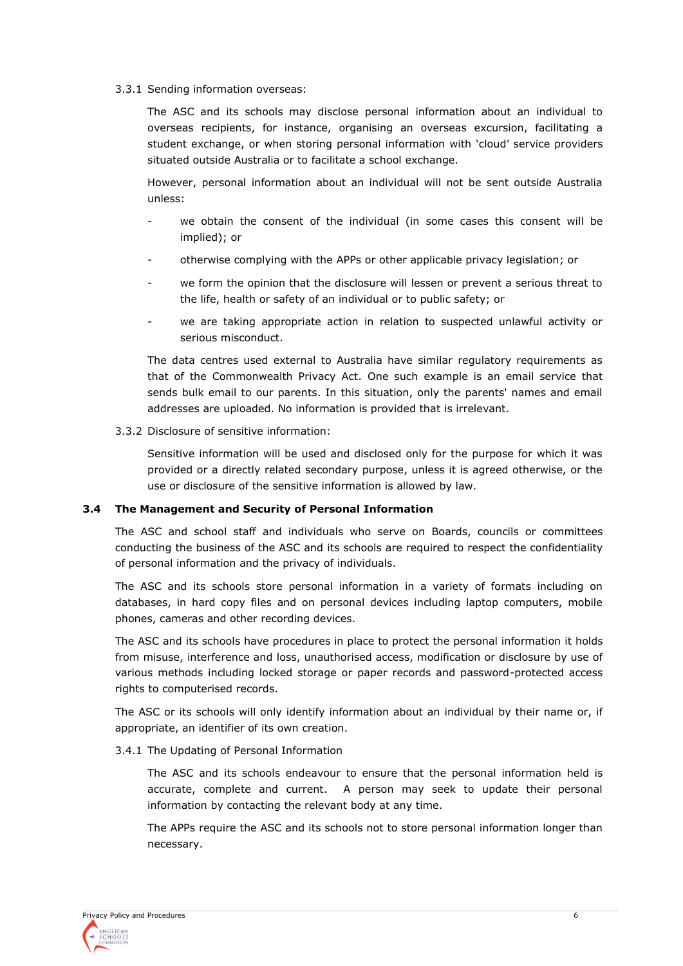3.3.1 Sending information overseas:

The ASC and its schools may disclose personal information about an individual to overseas recipients, for instance, organising an overseas excursion, facilitating a student exchange, or when storing personal information with 'cloud' service providers situated outside Australia or to facilitate a school exchange.

However, personal information about an individual will not be sent outside Australia unless:

- we obtain the consent of the individual (in some cases this consent will be implied); or
- otherwise complying with the APPs or other applicable privacy legislation; or
- we form the opinion that the disclosure will lessen or prevent a serious threat to the life, health or safety of an individual or to public safety; or
- we are taking appropriate action in relation to suspected unlawful activity or serious misconduct.

The data centres used external to Australia have similar regulatory requirements as that of the Commonwealth Privacy Act. One such example is an email service that sends bulk email to our parents. In this situation, only the parents' names and email addresses are uploaded. No information is provided that is irrelevant.

3.3.2 Disclosure of sensitive information:

Sensitive information will be used and disclosed only for the purpose for which it was provided or a directly related secondary purpose, unless it is agreed otherwise, or the use or disclosure of the sensitive information is allowed by law.

# **3.4 The Management and Security of Personal Information**

The ASC and school staff and individuals who serve on Boards, councils or committees conducting the business of the ASC and its schools are required to respect the confidentiality of personal information and the privacy of individuals.

The ASC and its schools store personal information in a variety of formats including on databases, in hard copy files and on personal devices including laptop computers, mobile phones, cameras and other recording devices.

The ASC and its schools have procedures in place to protect the personal information it holds from misuse, interference and loss, unauthorised access, modification or disclosure by use of various methods including locked storage or paper records and password-protected access rights to computerised records.

The ASC or its schools will only identify information about an individual by their name or, if appropriate, an identifier of its own creation.

#### 3.4.1 The Updating of Personal Information

The ASC and its schools endeavour to ensure that the personal information held is accurate, complete and current. A person may seek to update their personal information by contacting the relevant body at any time.

The APPs require the ASC and its schools not to store personal information longer than necessary.

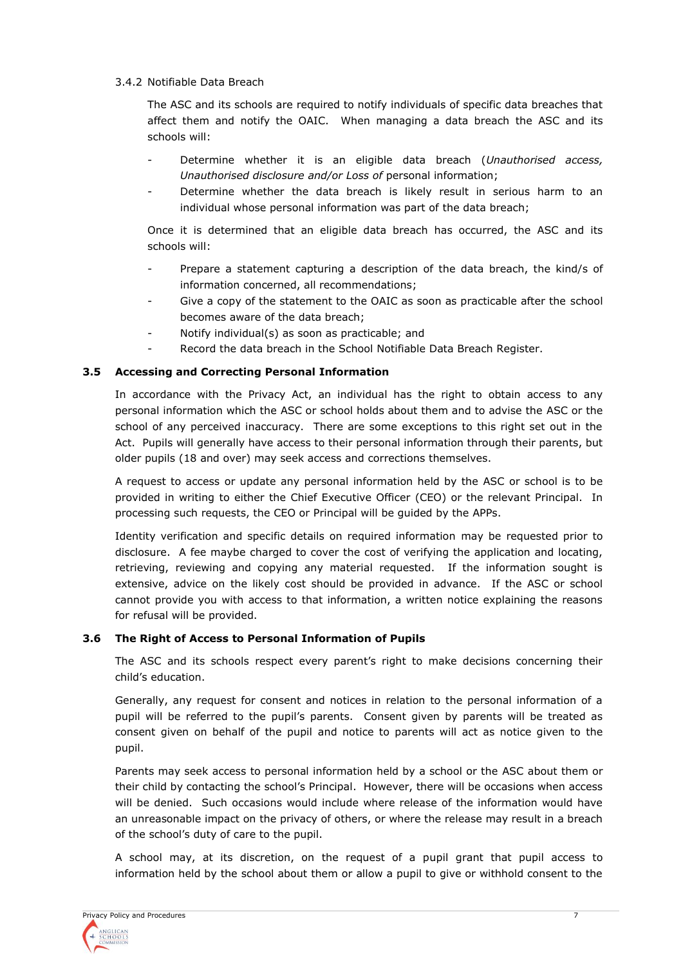# 3.4.2 Notifiable Data Breach

The ASC and its schools are required to notify individuals of specific data breaches that affect them and notify the OAIC. When managing a data breach the ASC and its schools will:

- Determine whether it is an eligible data breach (*Unauthorised access, Unauthorised disclosure and/or Loss of* personal information;
- Determine whether the data breach is likely result in serious harm to an individual whose personal information was part of the data breach;

Once it is determined that an eligible data breach has occurred, the ASC and its schools will:

- Prepare a statement capturing a description of the data breach, the kind/s of information concerned, all recommendations;
- Give a copy of the statement to the OAIC as soon as practicable after the school becomes aware of the data breach;
- Notify individual(s) as soon as practicable; and
- Record the data breach in the School Notifiable Data Breach Register.

#### **3.5 Accessing and Correcting Personal Information**

In accordance with the Privacy Act, an individual has the right to obtain access to any personal information which the ASC or school holds about them and to advise the ASC or the school of any perceived inaccuracy. There are some exceptions to this right set out in the Act. Pupils will generally have access to their personal information through their parents, but older pupils (18 and over) may seek access and corrections themselves.

A request to access or update any personal information held by the ASC or school is to be provided in writing to either the Chief Executive Officer (CEO) or the relevant Principal. In processing such requests, the CEO or Principal will be guided by the APPs.

Identity verification and specific details on required information may be requested prior to disclosure. A fee maybe charged to cover the cost of verifying the application and locating, retrieving, reviewing and copying any material requested. If the information sought is extensive, advice on the likely cost should be provided in advance. If the ASC or school cannot provide you with access to that information, a written notice explaining the reasons for refusal will be provided.

#### **3.6 The Right of Access to Personal Information of Pupils**

The ASC and its schools respect every parent's right to make decisions concerning their child's education.

Generally, any request for consent and notices in relation to the personal information of a pupil will be referred to the pupil's parents. Consent given by parents will be treated as consent given on behalf of the pupil and notice to parents will act as notice given to the pupil.

Parents may seek access to personal information held by a school or the ASC about them or their child by contacting the school's Principal. However, there will be occasions when access will be denied. Such occasions would include where release of the information would have an unreasonable impact on the privacy of others, or where the release may result in a breach of the school's duty of care to the pupil.

A school may, at its discretion, on the request of a pupil grant that pupil access to information held by the school about them or allow a pupil to give or withhold consent to the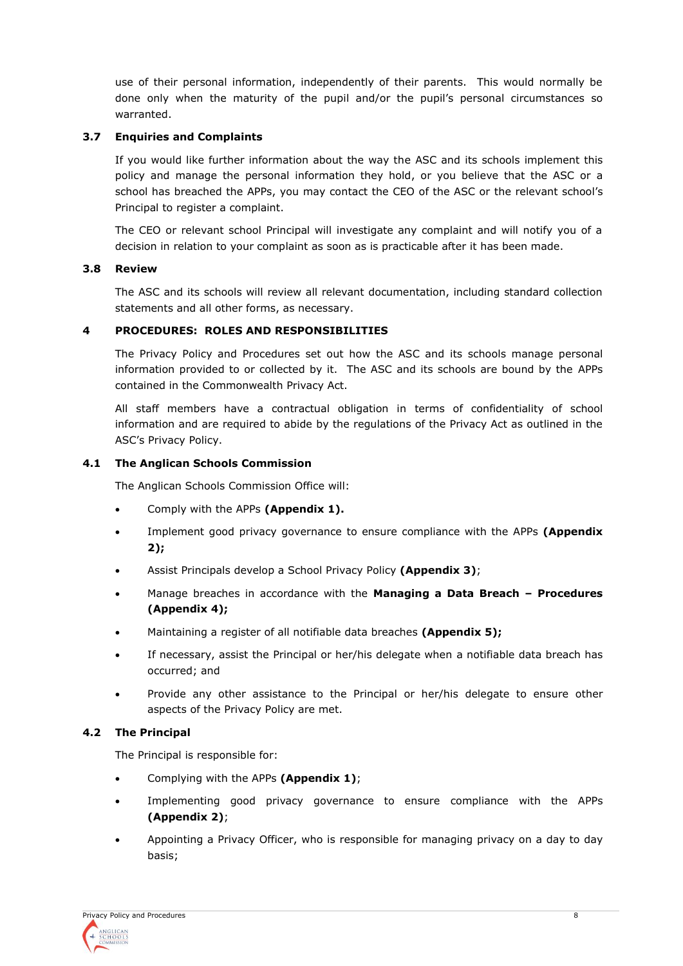use of their personal information, independently of their parents. This would normally be done only when the maturity of the pupil and/or the pupil's personal circumstances so warranted.

#### **3.7 Enquiries and Complaints**

If you would like further information about the way the ASC and its schools implement this policy and manage the personal information they hold, or you believe that the ASC or a school has breached the APPs, you may contact the CEO of the ASC or the relevant school's Principal to register a complaint.

The CEO or relevant school Principal will investigate any complaint and will notify you of a decision in relation to your complaint as soon as is practicable after it has been made.

#### **3.8 Review**

The ASC and its schools will review all relevant documentation, including standard collection statements and all other forms, as necessary.

#### **4 PROCEDURES: ROLES AND RESPONSIBILITIES**

The Privacy Policy and Procedures set out how the ASC and its schools manage personal information provided to or collected by it. The ASC and its schools are bound by the APPs contained in the Commonwealth Privacy Act.

All staff members have a contractual obligation in terms of confidentiality of school information and are required to abide by the regulations of the Privacy Act as outlined in the ASC's Privacy Policy.

#### **4.1 The Anglican Schools Commission**

The Anglican Schools Commission Office will:

- Comply with the APPs **(Appendix 1).**
- Implement good privacy governance to ensure compliance with the APPs **(Appendix 2);**
- Assist Principals develop a School Privacy Policy **(Appendix 3)**;
- Manage breaches in accordance with the **Managing a Data Breach – Procedures (Appendix 4);**
- Maintaining a register of all notifiable data breaches **(Appendix 5);**
- If necessary, assist the Principal or her/his delegate when a notifiable data breach has occurred; and
- Provide any other assistance to the Principal or her/his delegate to ensure other aspects of the Privacy Policy are met.

#### **4.2 The Principal**

The Principal is responsible for:

- Complying with the APPs **(Appendix 1)**;
- Implementing good privacy governance to ensure compliance with the APPs **(Appendix 2)**;
- Appointing a Privacy Officer, who is responsible for managing privacy on a day to day basis;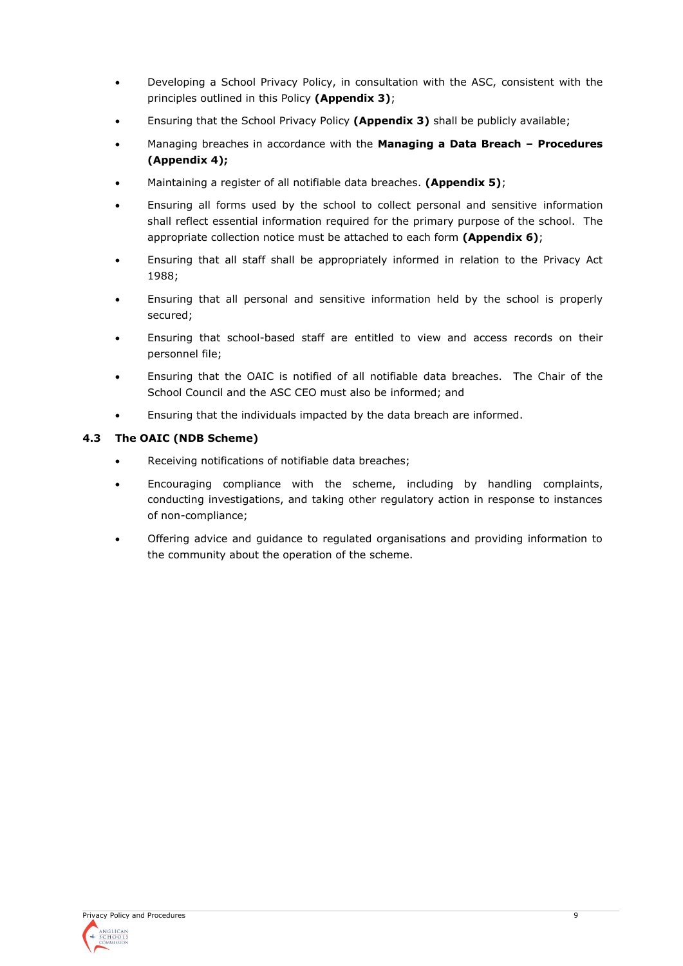- Developing a School Privacy Policy, in consultation with the ASC, consistent with the principles outlined in this Policy **(Appendix 3)**;
- Ensuring that the School Privacy Policy **(Appendix 3)** shall be publicly available;
- Managing breaches in accordance with the **Managing a Data Breach – Procedures (Appendix 4);**
- Maintaining a register of all notifiable data breaches. **(Appendix 5)**;
- Ensuring all forms used by the school to collect personal and sensitive information shall reflect essential information required for the primary purpose of the school. The appropriate collection notice must be attached to each form **(Appendix 6)**;
- Ensuring that all staff shall be appropriately informed in relation to the Privacy Act 1988;
- Ensuring that all personal and sensitive information held by the school is properly secured;
- Ensuring that school-based staff are entitled to view and access records on their personnel file;
- Ensuring that the OAIC is notified of all notifiable data breaches. The Chair of the School Council and the ASC CEO must also be informed; and
- Ensuring that the individuals impacted by the data breach are informed.

# **4.3 The OAIC (NDB Scheme)**

- Receiving notifications of notifiable data breaches;
- Encouraging compliance with the scheme, including by handling complaints, conducting investigations, and taking other regulatory action in response to instances of non-compliance;
- Offering advice and guidance to regulated organisations and providing information to the community about the operation of the scheme.

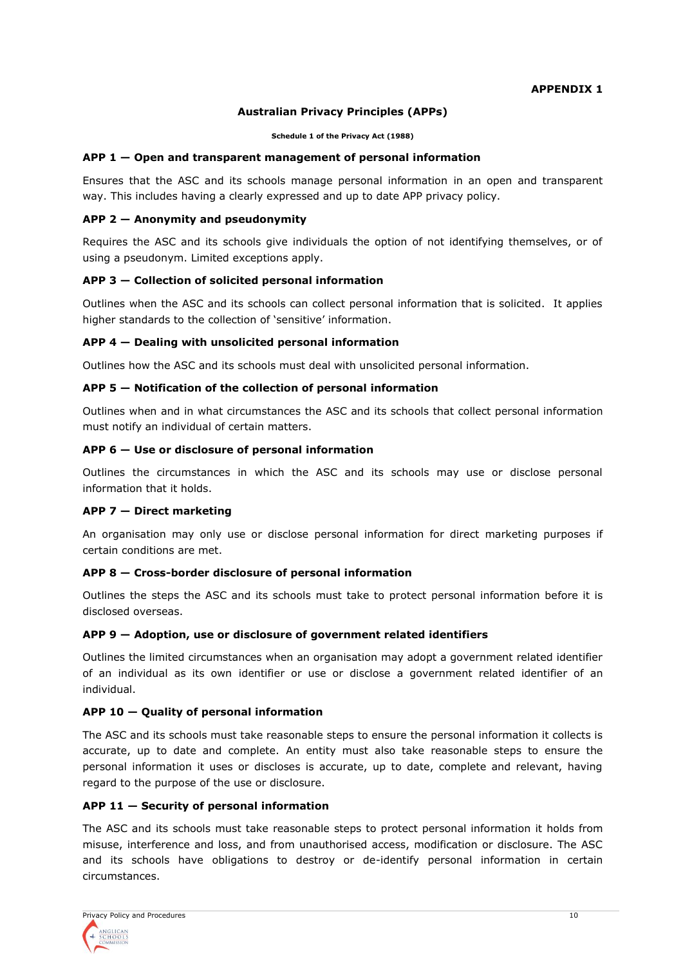#### **APPENDIX 1**

# **Australian Privacy Principles (APPs)**

**Schedule 1 of the Privacy Act (1988)**

#### **APP 1 — Open and transparent management of personal information**

Ensures that the ASC and its schools manage personal information in an open and transparent way. This includes having a clearly expressed and up to date APP privacy policy.

#### **APP 2 — Anonymity and pseudonymity**

Requires the ASC and its schools give individuals the option of not identifying themselves, or of using a pseudonym. Limited exceptions apply.

#### **APP 3 — Collection of solicited personal information**

Outlines when the ASC and its schools can collect personal information that is solicited. It applies higher standards to the collection of 'sensitive' information.

#### **APP 4 — Dealing with unsolicited personal information**

Outlines how the ASC and its schools must deal with unsolicited personal information.

#### **APP 5 — Notification of the collection of personal information**

Outlines when and in what circumstances the ASC and its schools that collect personal information must notify an individual of certain matters.

#### **APP 6 — Use or disclosure of personal information**

Outlines the circumstances in which the ASC and its schools may use or disclose personal information that it holds.

# **APP 7 — Direct marketing**

An organisation may only use or disclose personal information for direct marketing purposes if certain conditions are met.

#### **APP 8 — Cross-border disclosure of personal information**

Outlines the steps the ASC and its schools must take to protect personal information before it is disclosed overseas.

# **APP 9 — Adoption, use or disclosure of government related identifiers**

Outlines the limited circumstances when an organisation may adopt a government related identifier of an individual as its own identifier or use or disclose a government related identifier of an individual.

#### **APP 10 — Quality of personal information**

The ASC and its schools must take reasonable steps to ensure the personal information it collects is accurate, up to date and complete. An entity must also take reasonable steps to ensure the personal information it uses or discloses is accurate, up to date, complete and relevant, having regard to the purpose of the use or disclosure.

#### **APP 11 — Security of personal information**

The ASC and its schools must take reasonable steps to protect personal information it holds from misuse, interference and loss, and from unauthorised access, modification or disclosure. The ASC and its schools have obligations to destroy or de-identify personal information in certain circumstances.

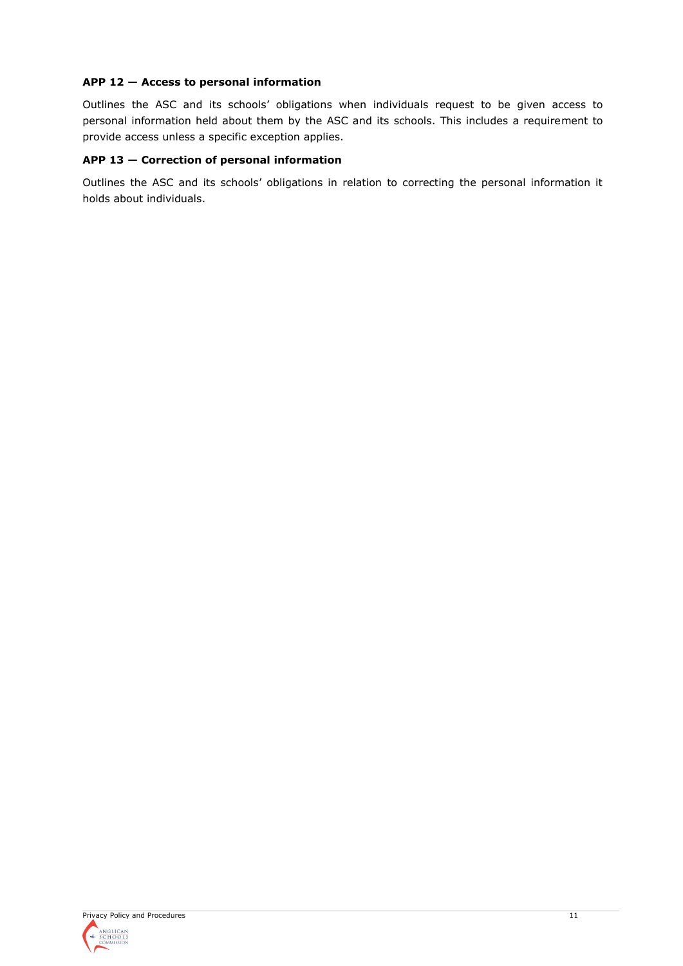# **APP 12 — Access to personal information**

Outlines the ASC and its schools' obligations when individuals request to be given access to personal information held about them by the ASC and its schools. This includes a requirement to provide access unless a specific exception applies.

# **APP 13 — Correction of personal information**

Outlines the ASC and its schools' obligations in relation to correcting the personal information it holds about individuals.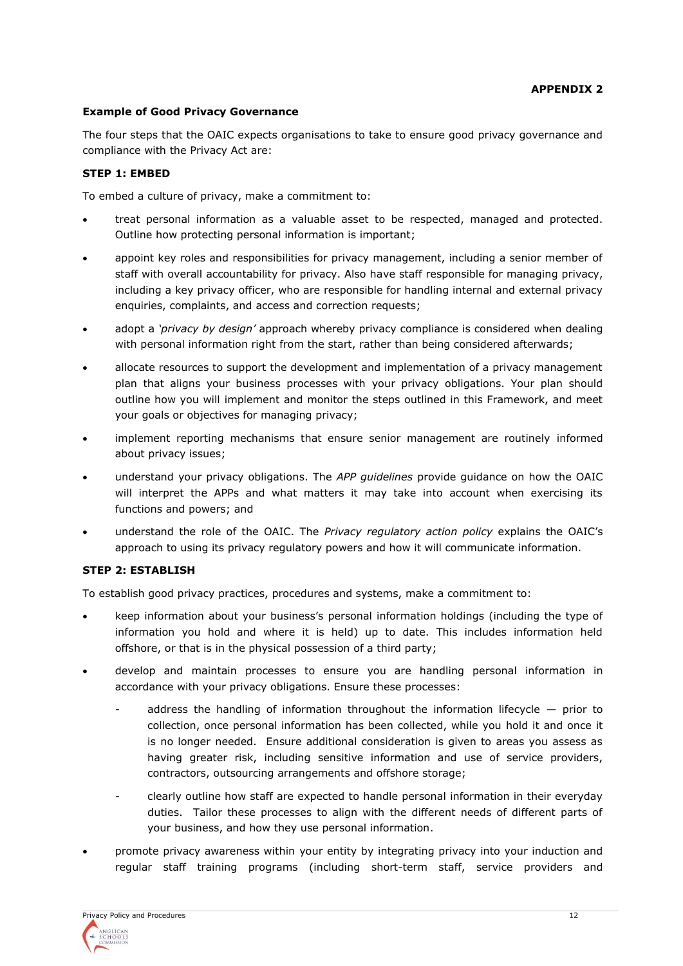# **Example of Good Privacy Governance**

The four steps that the OAIC expects organisations to take to ensure good privacy governance and compliance with the Privacy Act are:

# **STEP 1: EMBED**

To embed a culture of privacy, make a commitment to:

- treat personal information as a valuable asset to be respected, managed and protected. Outline how protecting personal information is important;
- appoint key roles and responsibilities for privacy management, including a senior member of staff with overall accountability for privacy. Also have staff responsible for managing privacy, including a key privacy officer, who are responsible for handling internal and external privacy enquiries, complaints, and access and correction requests;
- adopt a *'privacy by design'* approach whereby privacy compliance is considered when dealing with personal information right from the start, rather than being considered afterwards;
- allocate resources to support the development and implementation of a privacy management plan that aligns your business processes with your privacy obligations. Your plan should outline how you will implement and monitor the steps outlined in this Framework, and meet your goals or objectives for managing privacy;
- implement reporting mechanisms that ensure senior management are routinely informed about privacy issues;
- understand your privacy obligations. The *APP guidelines* provide guidance on how the OAIC will interpret the APPs and what matters it may take into account when exercising its functions and powers; and
- understand the role of the OAIC. The *Privacy regulatory action policy* explains the OAIC's approach to using its privacy regulatory powers and how it will communicate information.

# **STEP 2: ESTABLISH**

To establish good privacy practices, procedures and systems, make a commitment to:

- keep information about your business's personal information holdings (including the type of information you hold and where it is held) up to date. This includes information held offshore, or that is in the physical possession of a third party;
- develop and maintain processes to ensure you are handling personal information in accordance with your privacy obligations. Ensure these processes:
	- address the handling of information throughout the information lifecycle  $-$  prior to collection, once personal information has been collected, while you hold it and once it is no longer needed. Ensure additional consideration is given to areas you assess as having greater risk, including sensitive information and use of service providers, contractors, outsourcing arrangements and offshore storage;
	- clearly outline how staff are expected to handle personal information in their everyday duties. Tailor these processes to align with the different needs of different parts of your business, and how they use personal information.
- promote privacy awareness within your entity by integrating privacy into your induction and regular staff training programs (including short-term staff, service providers and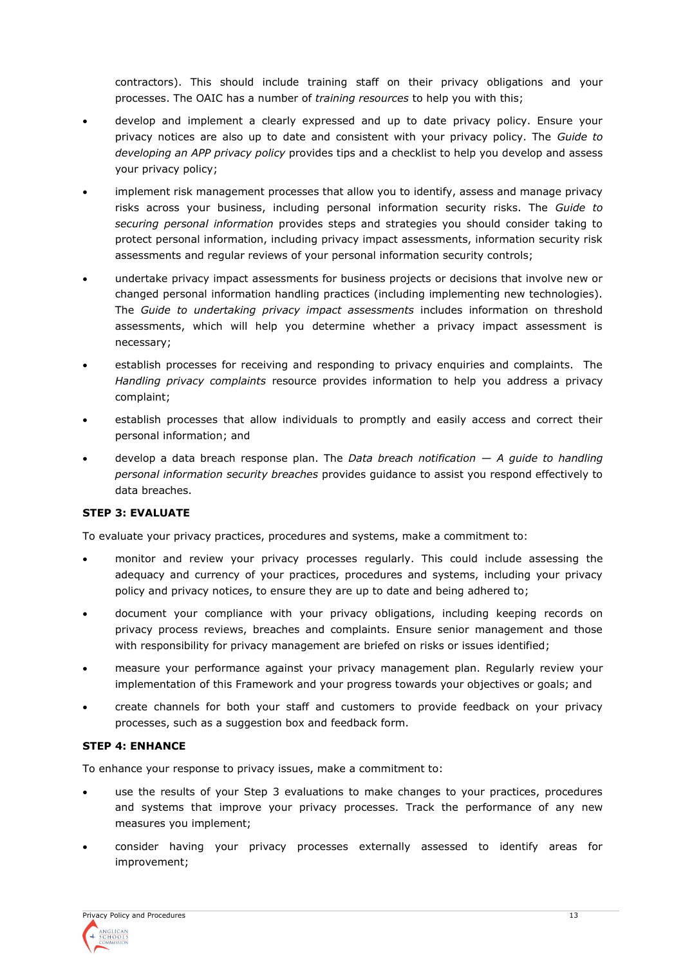contractors). This should include training staff on their privacy obligations and your processes. The OAIC has a number of *training resources* to help you with this;

- develop and implement a clearly expressed and up to date privacy policy. Ensure your privacy notices are also up to date and consistent with your privacy policy. The *Guide to developing an APP privacy policy* provides tips and a checklist to help you develop and assess your privacy policy;
- implement risk management processes that allow you to identify, assess and manage privacy risks across your business, including personal information security risks. The *Guide to securing personal information* provides steps and strategies you should consider taking to protect personal information, including privacy impact assessments, information security risk assessments and regular reviews of your personal information security controls;
- undertake privacy impact assessments for business projects or decisions that involve new or changed personal information handling practices (including implementing new technologies). The *Guide to undertaking privacy impact assessments* includes information on threshold assessments, which will help you determine whether a privacy impact assessment is necessary;
- establish processes for receiving and responding to privacy enquiries and complaints. The *Handling privacy complaints* resource provides information to help you address a privacy complaint;
- establish processes that allow individuals to promptly and easily access and correct their personal information; and
- develop a data breach response plan. The *Data breach notification — A guide to handling personal information security breaches* provides guidance to assist you respond effectively to data breaches.

# **STEP 3: EVALUATE**

To evaluate your privacy practices, procedures and systems, make a commitment to:

- monitor and review your privacy processes regularly. This could include assessing the adequacy and currency of your practices, procedures and systems, including your privacy policy and privacy notices, to ensure they are up to date and being adhered to;
- document your compliance with your privacy obligations, including keeping records on privacy process reviews, breaches and complaints. Ensure senior management and those with responsibility for privacy management are briefed on risks or issues identified;
- measure your performance against your privacy management plan. Regularly review your implementation of this Framework and your progress towards your objectives or goals; and
- create channels for both your staff and customers to provide feedback on your privacy processes, such as a suggestion box and feedback form.

# **STEP 4: ENHANCE**

To enhance your response to privacy issues, make a commitment to:

- use the results of your Step 3 evaluations to make changes to your practices, procedures and systems that improve your privacy processes. Track the performance of any new measures you implement;
- consider having your privacy processes externally assessed to identify areas for improvement;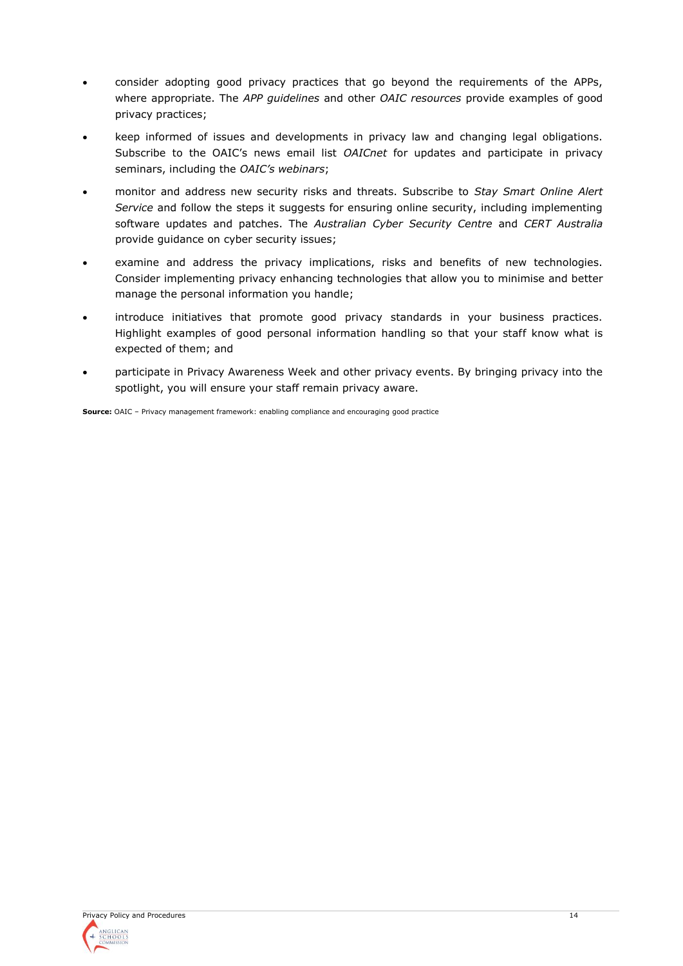- consider adopting good privacy practices that go beyond the requirements of the APPs, where appropriate. The *APP guidelines* and other *OAIC resources* provide examples of good privacy practices;
- keep informed of issues and developments in privacy law and changing legal obligations. Subscribe to the OAIC's news email list *OAICnet* for updates and participate in privacy seminars, including the *OAIC's webinars*;
- monitor and address new security risks and threats. Subscribe to *Stay Smart Online Alert Service* and follow the steps it suggests for ensuring online security, including implementing software updates and patches. The *Australian Cyber Security Centre* and *CERT Australia* provide guidance on cyber security issues;
- examine and address the privacy implications, risks and benefits of new technologies. Consider implementing privacy enhancing technologies that allow you to minimise and better manage the personal information you handle;
- introduce initiatives that promote good privacy standards in your business practices. Highlight examples of good personal information handling so that your staff know what is expected of them; and
- participate in Privacy Awareness Week and other privacy events. By bringing privacy into the spotlight, you will ensure your staff remain privacy aware.

**Source:** OAIC – Privacy management framework: enabling compliance and encouraging good practice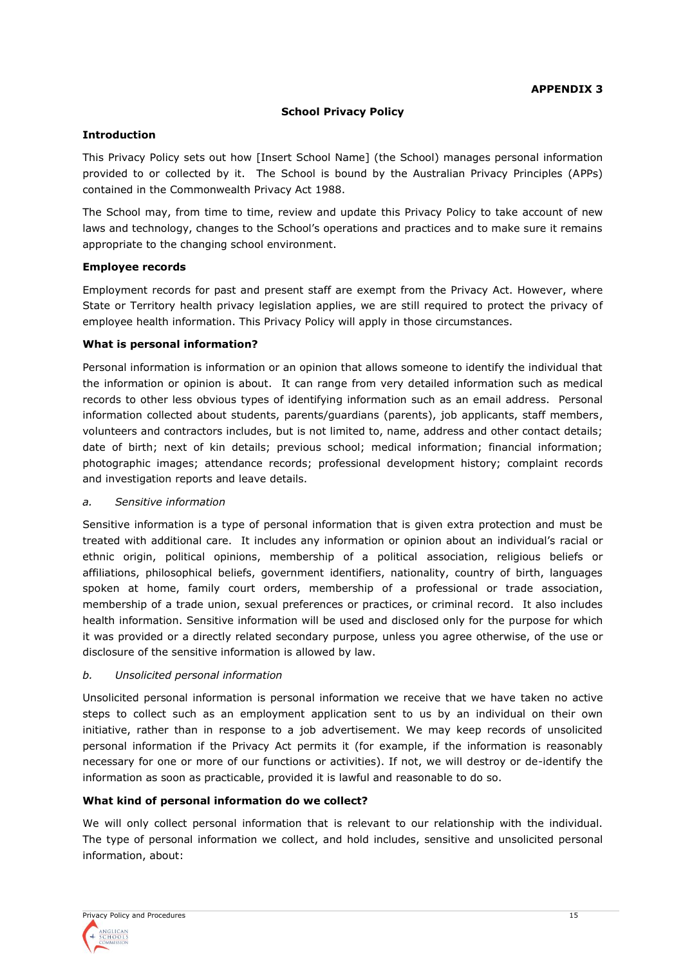#### **School Privacy Policy**

#### **Introduction**

This Privacy Policy sets out how [Insert School Name] (the School) manages personal information provided to or collected by it. The School is bound by the Australian Privacy Principles (APPs) contained in the Commonwealth Privacy Act 1988.

The School may, from time to time, review and update this Privacy Policy to take account of new laws and technology, changes to the School's operations and practices and to make sure it remains appropriate to the changing school environment.

#### **Employee records**

Employment records for past and present staff are exempt from the Privacy Act. However, where State or Territory health privacy legislation applies, we are still required to protect the privacy of employee health information. This Privacy Policy will apply in those circumstances.

#### **What is personal information?**

Personal information is information or an opinion that allows someone to identify the individual that the information or opinion is about. It can range from very detailed information such as medical records to other less obvious types of identifying information such as an email address. Personal information collected about students, parents/guardians (parents), job applicants, staff members, volunteers and contractors includes, but is not limited to, name, address and other contact details; date of birth; next of kin details; previous school; medical information; financial information; photographic images; attendance records; professional development history; complaint records and investigation reports and leave details.

#### *a. Sensitive information*

Sensitive information is a type of personal information that is given extra protection and must be treated with additional care. It includes any information or opinion about an individual's racial or ethnic origin, political opinions, membership of a political association, religious beliefs or affiliations, philosophical beliefs, government identifiers, nationality, country of birth, languages spoken at home, family court orders, membership of a professional or trade association, membership of a trade union, sexual preferences or practices, or criminal record. It also includes health information. Sensitive information will be used and disclosed only for the purpose for which it was provided or a directly related secondary purpose, unless you agree otherwise, of the use or disclosure of the sensitive information is allowed by law.

# *b. Unsolicited personal information*

Unsolicited personal information is personal information we receive that we have taken no active steps to collect such as an employment application sent to us by an individual on their own initiative, rather than in response to a job advertisement. We may keep records of unsolicited personal information if the Privacy Act permits it (for example, if the information is reasonably necessary for one or more of our functions or activities). If not, we will destroy or de-identify the information as soon as practicable, provided it is lawful and reasonable to do so.

# **What kind of personal information do we collect?**

We will only collect personal information that is relevant to our relationship with the individual. The type of personal information we collect, and hold includes, sensitive and unsolicited personal information, about: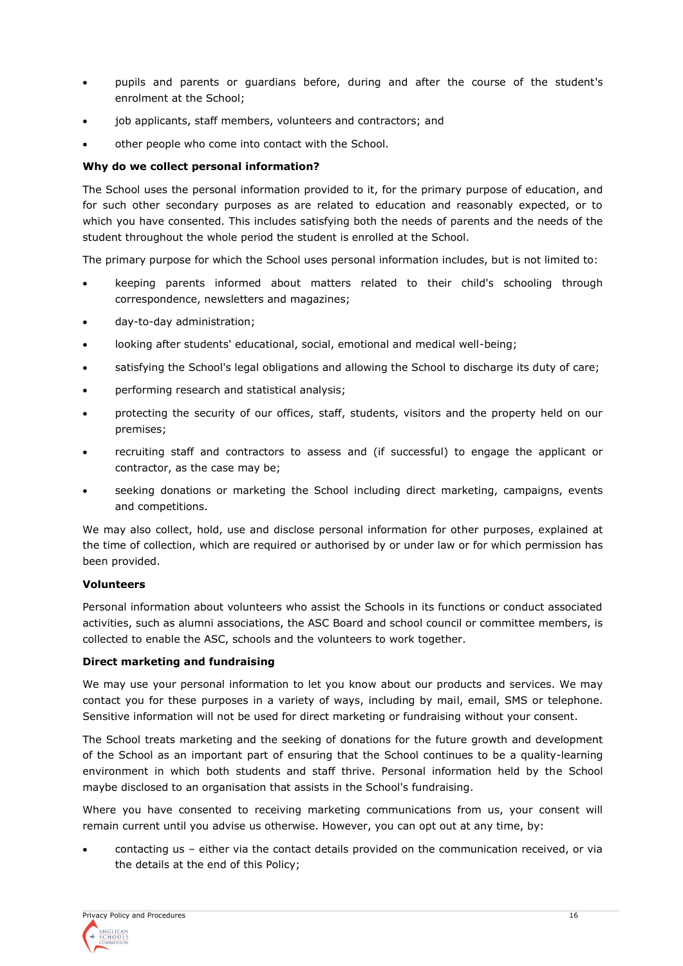- pupils and parents or guardians before, during and after the course of the student's enrolment at the School;
- job applicants, staff members, volunteers and contractors; and
- other people who come into contact with the School.

#### **Why do we collect personal information?**

The School uses the personal information provided to it, for the primary purpose of education, and for such other secondary purposes as are related to education and reasonably expected, or to which you have consented. This includes satisfying both the needs of parents and the needs of the student throughout the whole period the student is enrolled at the School.

The primary purpose for which the School uses personal information includes, but is not limited to:

- keeping parents informed about matters related to their child's schooling through correspondence, newsletters and magazines;
- day-to-day administration;
- looking after students' educational, social, emotional and medical well-being;
- satisfying the School's legal obligations and allowing the School to discharge its duty of care;
- performing research and statistical analysis;
- protecting the security of our offices, staff, students, visitors and the property held on our premises;
- recruiting staff and contractors to assess and (if successful) to engage the applicant or contractor, as the case may be;
- seeking donations or marketing the School including direct marketing, campaigns, events and competitions.

We may also collect, hold, use and disclose personal information for other purposes, explained at the time of collection, which are required or authorised by or under law or for which permission has been provided.

#### **Volunteers**

Personal information about volunteers who assist the Schools in its functions or conduct associated activities, such as alumni associations, the ASC Board and school council or committee members, is collected to enable the ASC, schools and the volunteers to work together.

#### **Direct marketing and fundraising**

We may use your personal information to let you know about our products and services. We may contact you for these purposes in a variety of ways, including by mail, email, SMS or telephone. Sensitive information will not be used for direct marketing or fundraising without your consent.

The School treats marketing and the seeking of donations for the future growth and development of the School as an important part of ensuring that the School continues to be a quality-learning environment in which both students and staff thrive. Personal information held by the School maybe disclosed to an organisation that assists in the School's fundraising.

Where you have consented to receiving marketing communications from us, your consent will remain current until you advise us otherwise. However, you can opt out at any time, by:

• contacting us – either via the contact details provided on the communication received, or via the details at the end of this Policy;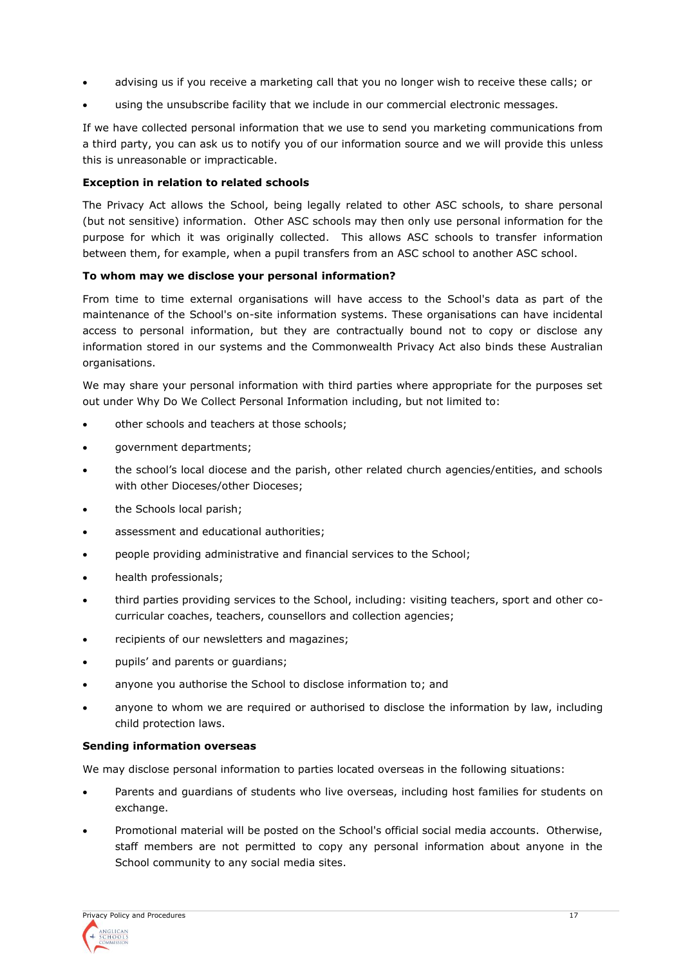- advising us if you receive a marketing call that you no longer wish to receive these calls; or
- using the unsubscribe facility that we include in our commercial electronic messages.

If we have collected personal information that we use to send you marketing communications from a third party, you can ask us to notify you of our information source and we will provide this unless this is unreasonable or impracticable.

# **Exception in relation to related schools**

The Privacy Act allows the School, being legally related to other ASC schools, to share personal (but not sensitive) information. Other ASC schools may then only use personal information for the purpose for which it was originally collected. This allows ASC schools to transfer information between them, for example, when a pupil transfers from an ASC school to another ASC school.

# **To whom may we disclose your personal information?**

From time to time external organisations will have access to the School's data as part of the maintenance of the School's on-site information systems. These organisations can have incidental access to personal information, but they are contractually bound not to copy or disclose any information stored in our systems and the Commonwealth Privacy Act also binds these Australian organisations.

We may share your personal information with third parties where appropriate for the purposes set out under Why Do We Collect Personal Information including, but not limited to:

- other schools and teachers at those schools;
- government departments;
- the school's local diocese and the parish, other related church agencies/entities, and schools with other Dioceses/other Dioceses;
- the Schools local parish;
- assessment and educational authorities;
- people providing administrative and financial services to the School;
- health professionals;
- third parties providing services to the School, including: visiting teachers, sport and other cocurricular coaches, teachers, counsellors and collection agencies;
- recipients of our newsletters and magazines;
- pupils' and parents or guardians;
- anyone you authorise the School to disclose information to; and
- anyone to whom we are required or authorised to disclose the information by law, including child protection laws.

# **Sending information overseas**

We may disclose personal information to parties located overseas in the following situations:

- Parents and guardians of students who live overseas, including host families for students on exchange.
- Promotional material will be posted on the School's official social media accounts. Otherwise, staff members are not permitted to copy any personal information about anyone in the School community to any social media sites.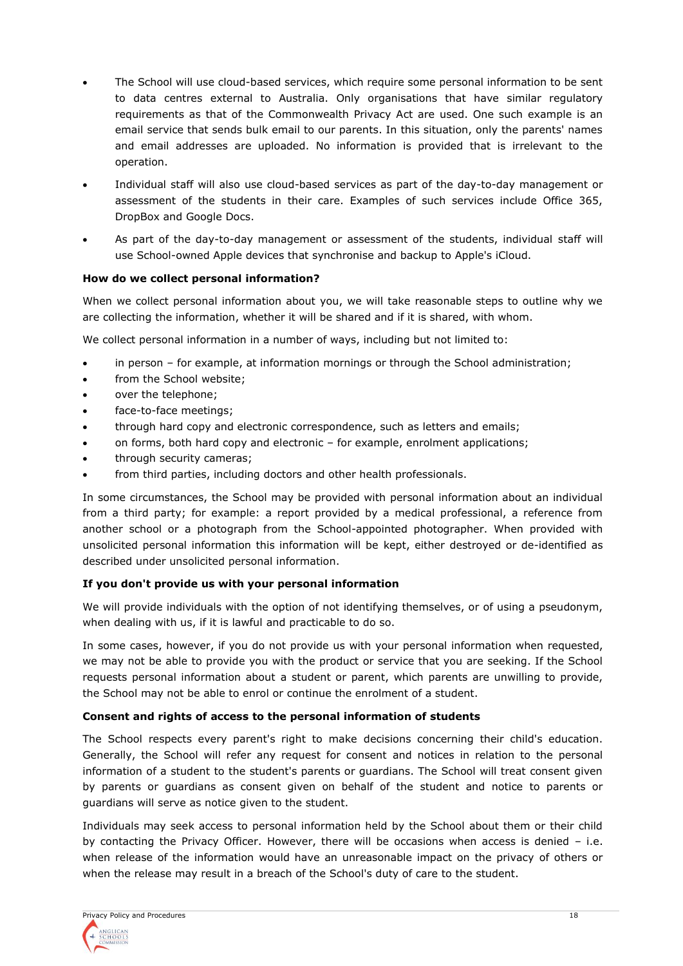- The School will use cloud-based services, which require some personal information to be sent to data centres external to Australia. Only organisations that have similar regulatory requirements as that of the Commonwealth Privacy Act are used. One such example is an email service that sends bulk email to our parents. In this situation, only the parents' names and email addresses are uploaded. No information is provided that is irrelevant to the operation.
- Individual staff will also use cloud-based services as part of the day-to-day management or assessment of the students in their care. Examples of such services include Office 365, DropBox and Google Docs.
- As part of the day-to-day management or assessment of the students, individual staff will use School-owned Apple devices that synchronise and backup to Apple's iCloud.

# **How do we collect personal information?**

When we collect personal information about you, we will take reasonable steps to outline why we are collecting the information, whether it will be shared and if it is shared, with whom.

We collect personal information in a number of ways, including but not limited to:

- in person for example, at information mornings or through the School administration;
- from the School website;
- over the telephone;
- face-to-face meetings;
- through hard copy and electronic correspondence, such as letters and emails;
- on forms, both hard copy and electronic for example, enrolment applications;
- through security cameras;
- from third parties, including doctors and other health professionals.

In some circumstances, the School may be provided with personal information about an individual from a third party; for example: a report provided by a medical professional, a reference from another school or a photograph from the School-appointed photographer. When provided with unsolicited personal information this information will be kept, either destroyed or de-identified as described under unsolicited personal information.

# **If you don't provide us with your personal information**

We will provide individuals with the option of not identifying themselves, or of using a pseudonym, when dealing with us, if it is lawful and practicable to do so.

In some cases, however, if you do not provide us with your personal information when requested, we may not be able to provide you with the product or service that you are seeking. If the School requests personal information about a student or parent, which parents are unwilling to provide, the School may not be able to enrol or continue the enrolment of a student.

# **Consent and rights of access to the personal information of students**

The School respects every parent's right to make decisions concerning their child's education. Generally, the School will refer any request for consent and notices in relation to the personal information of a student to the student's parents or guardians. The School will treat consent given by parents or guardians as consent given on behalf of the student and notice to parents or guardians will serve as notice given to the student.

Individuals may seek access to personal information held by the School about them or their child by contacting the Privacy Officer. However, there will be occasions when access is denied – i.e. when release of the information would have an unreasonable impact on the privacy of others or when the release may result in a breach of the School's duty of care to the student.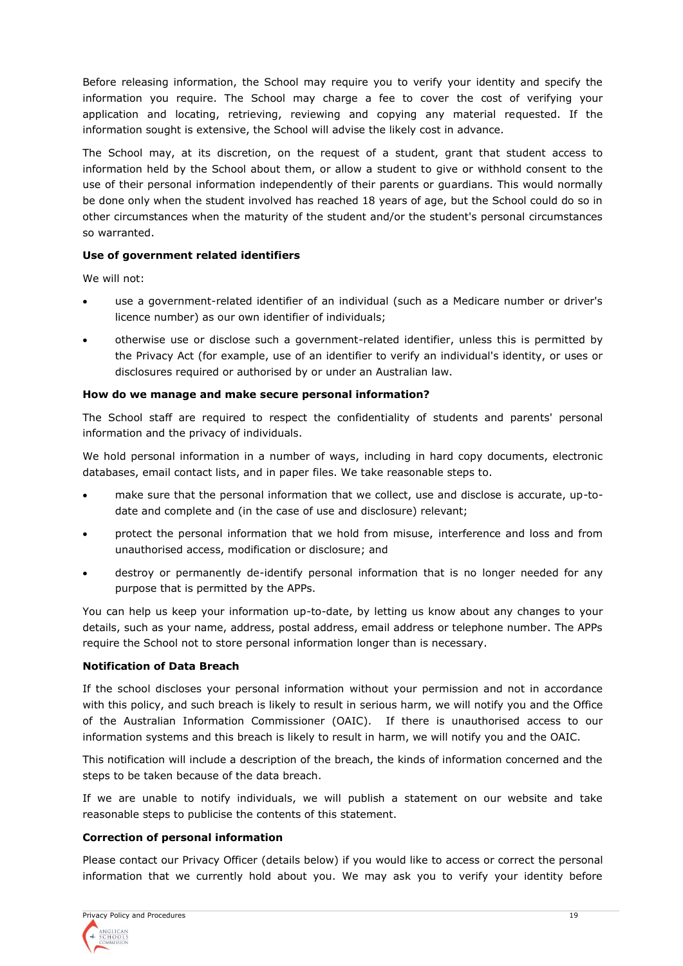Before releasing information, the School may require you to verify your identity and specify the information you require. The School may charge a fee to cover the cost of verifying your application and locating, retrieving, reviewing and copying any material requested. If the information sought is extensive, the School will advise the likely cost in advance.

The School may, at its discretion, on the request of a student, grant that student access to information held by the School about them, or allow a student to give or withhold consent to the use of their personal information independently of their parents or guardians. This would normally be done only when the student involved has reached 18 years of age, but the School could do so in other circumstances when the maturity of the student and/or the student's personal circumstances so warranted.

# **Use of government related identifiers**

We will not:

- use a government-related identifier of an individual (such as a Medicare number or driver's licence number) as our own identifier of individuals;
- otherwise use or disclose such a government-related identifier, unless this is permitted by the Privacy Act (for example, use of an identifier to verify an individual's identity, or uses or disclosures required or authorised by or under an Australian law.

# **How do we manage and make secure personal information?**

The School staff are required to respect the confidentiality of students and parents' personal information and the privacy of individuals.

We hold personal information in a number of ways, including in hard copy documents, electronic databases, email contact lists, and in paper files. We take reasonable steps to.

- make sure that the personal information that we collect, use and disclose is accurate, up-todate and complete and (in the case of use and disclosure) relevant;
- protect the personal information that we hold from misuse, interference and loss and from unauthorised access, modification or disclosure; and
- destroy or permanently de-identify personal information that is no longer needed for any purpose that is permitted by the APPs.

You can help us keep your information up-to-date, by letting us know about any changes to your details, such as your name, address, postal address, email address or telephone number. The APPs require the School not to store personal information longer than is necessary.

# **Notification of Data Breach**

If the school discloses your personal information without your permission and not in accordance with this policy, and such breach is likely to result in serious harm, we will notify you and the Office of the Australian Information Commissioner (OAIC). If there is unauthorised access to our information systems and this breach is likely to result in harm, we will notify you and the OAIC.

This notification will include a description of the breach, the kinds of information concerned and the steps to be taken because of the data breach.

If we are unable to notify individuals, we will publish a statement on our website and take reasonable steps to publicise the contents of this statement.

# **Correction of personal information**

Please contact our Privacy Officer (details below) if you would like to access or correct the personal information that we currently hold about you. We may ask you to verify your identity before

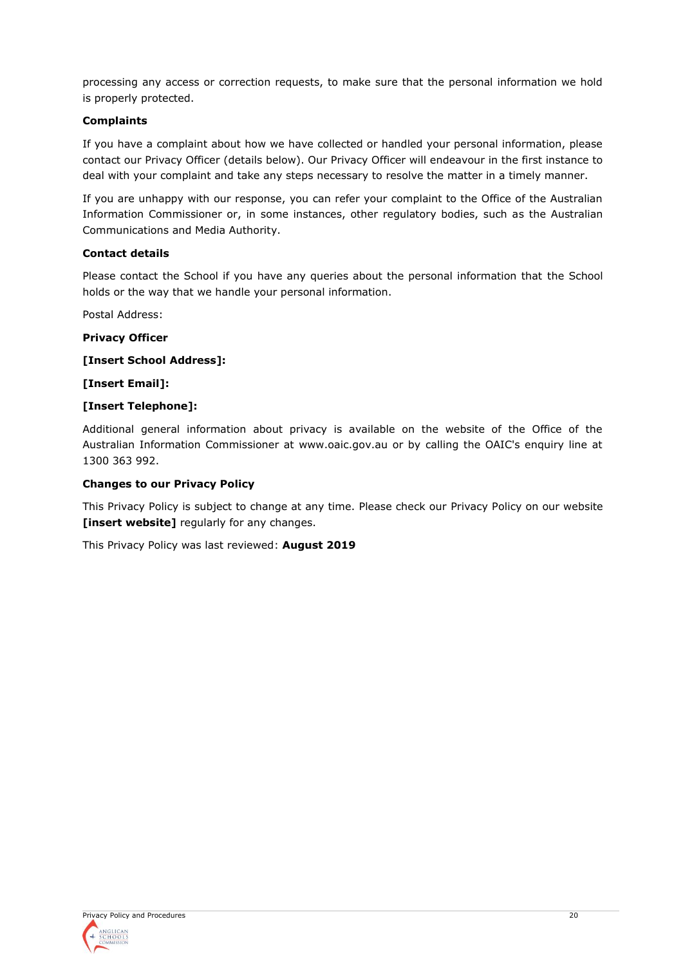processing any access or correction requests, to make sure that the personal information we hold is properly protected.

# **Complaints**

If you have a complaint about how we have collected or handled your personal information, please contact our Privacy Officer (details below). Our Privacy Officer will endeavour in the first instance to deal with your complaint and take any steps necessary to resolve the matter in a timely manner.

If you are unhappy with our response, you can refer your complaint to the Office of the Australian Information Commissioner or, in some instances, other regulatory bodies, such as the Australian Communications and Media Authority.

# **Contact details**

Please contact the School if you have any queries about the personal information that the School holds or the way that we handle your personal information.

Postal Address:

**Privacy Officer**

**[Insert School Address]:**

**[Insert Email]:**

# **[Insert Telephone]:**

Additional general information about privacy is available on the website of the Office of the Australian Information Commissioner at www.oaic.gov.au or by calling the OAIC's enquiry line at 1300 363 992.

# **Changes to our Privacy Policy**

This Privacy Policy is subject to change at any time. Please check our Privacy Policy on our website **[insert website]** regularly for any changes.

This Privacy Policy was last reviewed: **August 2019**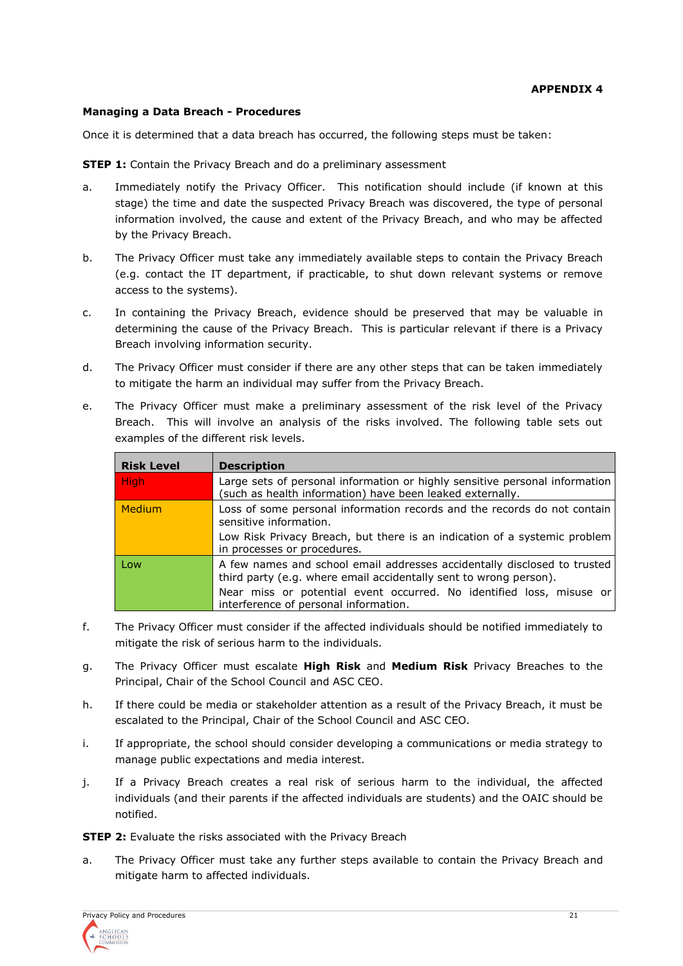#### **Managing a Data Breach - Procedures**

Once it is determined that a data breach has occurred, the following steps must be taken:

**STEP 1:** Contain the Privacy Breach and do a preliminary assessment

- a. Immediately notify the Privacy Officer. This notification should include (if known at this stage) the time and date the suspected Privacy Breach was discovered, the type of personal information involved, the cause and extent of the Privacy Breach, and who may be affected by the Privacy Breach.
- b. The Privacy Officer must take any immediately available steps to contain the Privacy Breach (e.g. contact the IT department, if practicable, to shut down relevant systems or remove access to the systems).
- c. In containing the Privacy Breach, evidence should be preserved that may be valuable in determining the cause of the Privacy Breach. This is particular relevant if there is a Privacy Breach involving information security.
- d. The Privacy Officer must consider if there are any other steps that can be taken immediately to mitigate the harm an individual may suffer from the Privacy Breach.
- e. The Privacy Officer must make a preliminary assessment of the risk level of the Privacy Breach. This will involve an analysis of the risks involved. The following table sets out examples of the different risk levels.

| <b>Risk Level</b> | <b>Description</b>                                                                                                                            |  |  |  |  |
|-------------------|-----------------------------------------------------------------------------------------------------------------------------------------------|--|--|--|--|
| <b>High</b>       | Large sets of personal information or highly sensitive personal information<br>(such as health information) have been leaked externally.      |  |  |  |  |
| Medium            | Loss of some personal information records and the records do not contain<br>sensitive information.                                            |  |  |  |  |
|                   | Low Risk Privacy Breach, but there is an indication of a systemic problem<br>in processes or procedures.                                      |  |  |  |  |
| Low               | A few names and school email addresses accidentally disclosed to trusted<br>third party (e.g. where email accidentally sent to wrong person). |  |  |  |  |
|                   | Near miss or potential event occurred. No identified loss, misuse or<br>interference of personal information.                                 |  |  |  |  |

- f. The Privacy Officer must consider if the affected individuals should be notified immediately to mitigate the risk of serious harm to the individuals.
- g. The Privacy Officer must escalate **High Risk** and **Medium Risk** Privacy Breaches to the Principal, Chair of the School Council and ASC CEO.
- h. If there could be media or stakeholder attention as a result of the Privacy Breach, it must be escalated to the Principal, Chair of the School Council and ASC CEO.
- i. If appropriate, the school should consider developing a communications or media strategy to manage public expectations and media interest.
- j. If a Privacy Breach creates a real risk of serious harm to the individual, the affected individuals (and their parents if the affected individuals are students) and the OAIC should be notified.

**STEP 2:** Evaluate the risks associated with the Privacy Breach

a. The Privacy Officer must take any further steps available to contain the Privacy Breach and mitigate harm to affected individuals.

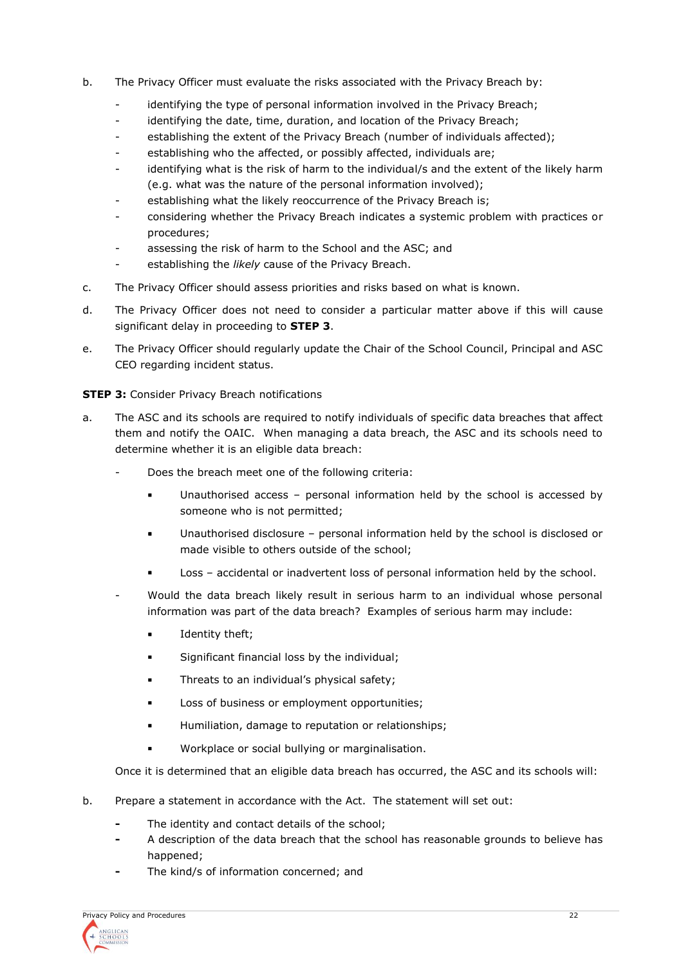- b. The Privacy Officer must evaluate the risks associated with the Privacy Breach by:
	- identifying the type of personal information involved in the Privacy Breach;
	- identifying the date, time, duration, and location of the Privacy Breach;
	- establishing the extent of the Privacy Breach (number of individuals affected);
	- establishing who the affected, or possibly affected, individuals are;
	- identifying what is the risk of harm to the individual/s and the extent of the likely harm (e.g. what was the nature of the personal information involved);
	- establishing what the likely reoccurrence of the Privacy Breach is;
	- considering whether the Privacy Breach indicates a systemic problem with practices or procedures;
	- assessing the risk of harm to the School and the ASC; and
	- establishing the *likely* cause of the Privacy Breach.
- c. The Privacy Officer should assess priorities and risks based on what is known.
- d. The Privacy Officer does not need to consider a particular matter above if this will cause significant delay in proceeding to **STEP 3**.
- e. The Privacy Officer should regularly update the Chair of the School Council, Principal and ASC CEO regarding incident status.

**STEP 3:** Consider Privacy Breach notifications

- a. The ASC and its schools are required to notify individuals of specific data breaches that affect them and notify the OAIC. When managing a data breach, the ASC and its schools need to determine whether it is an eligible data breach:
	- Does the breach meet one of the following criteria:
		- Unauthorised access personal information held by the school is accessed by someone who is not permitted;
		- Unauthorised disclosure personal information held by the school is disclosed or made visible to others outside of the school;
		- Loss accidental or inadvertent loss of personal information held by the school.
	- Would the data breach likely result in serious harm to an individual whose personal information was part of the data breach? Examples of serious harm may include:
		- Identity theft;
		- Significant financial loss by the individual;
		- **•** Threats to an individual's physical safety;
		- **■** Loss of business or employment opportunities;
		- **■** Humiliation, damage to reputation or relationships;
		- Workplace or social bullying or marginalisation.

Once it is determined that an eligible data breach has occurred, the ASC and its schools will:

- b. Prepare a statement in accordance with the Act. The statement will set out:
	- **-** The identity and contact details of the school;
	- **-** A description of the data breach that the school has reasonable grounds to believe has happened;
	- **-** The kind/s of information concerned; and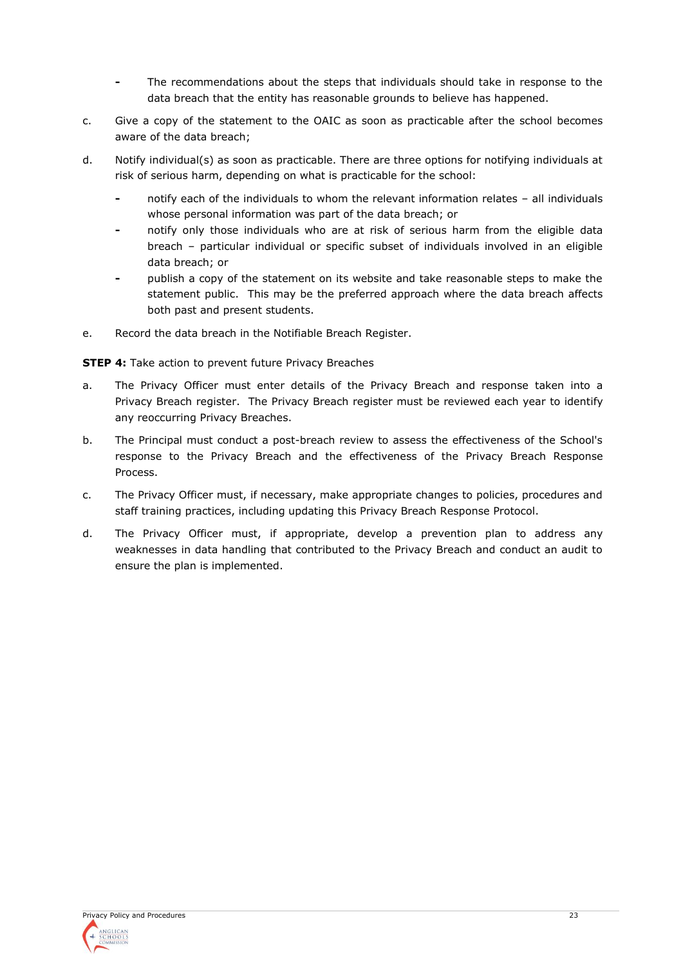- **-** The recommendations about the steps that individuals should take in response to the data breach that the entity has reasonable grounds to believe has happened.
- c. Give a copy of the statement to the OAIC as soon as practicable after the school becomes aware of the data breach;
- d. Notify individual(s) as soon as practicable. There are three options for notifying individuals at risk of serious harm, depending on what is practicable for the school:
	- **-** notify each of the individuals to whom the relevant information relates all individuals whose personal information was part of the data breach; or
	- **-** notify only those individuals who are at risk of serious harm from the eligible data breach – particular individual or specific subset of individuals involved in an eligible data breach; or
	- **-** publish a copy of the statement on its website and take reasonable steps to make the statement public. This may be the preferred approach where the data breach affects both past and present students.
- e. Record the data breach in the Notifiable Breach Register.

**STEP 4:** Take action to prevent future Privacy Breaches

- a. The Privacy Officer must enter details of the Privacy Breach and response taken into a Privacy Breach register. The Privacy Breach register must be reviewed each year to identify any reoccurring Privacy Breaches.
- b. The Principal must conduct a post-breach review to assess the effectiveness of the School's response to the Privacy Breach and the effectiveness of the Privacy Breach Response Process.
- c. The Privacy Officer must, if necessary, make appropriate changes to policies, procedures and staff training practices, including updating this Privacy Breach Response Protocol.
- d. The Privacy Officer must, if appropriate, develop a prevention plan to address any weaknesses in data handling that contributed to the Privacy Breach and conduct an audit to ensure the plan is implemented.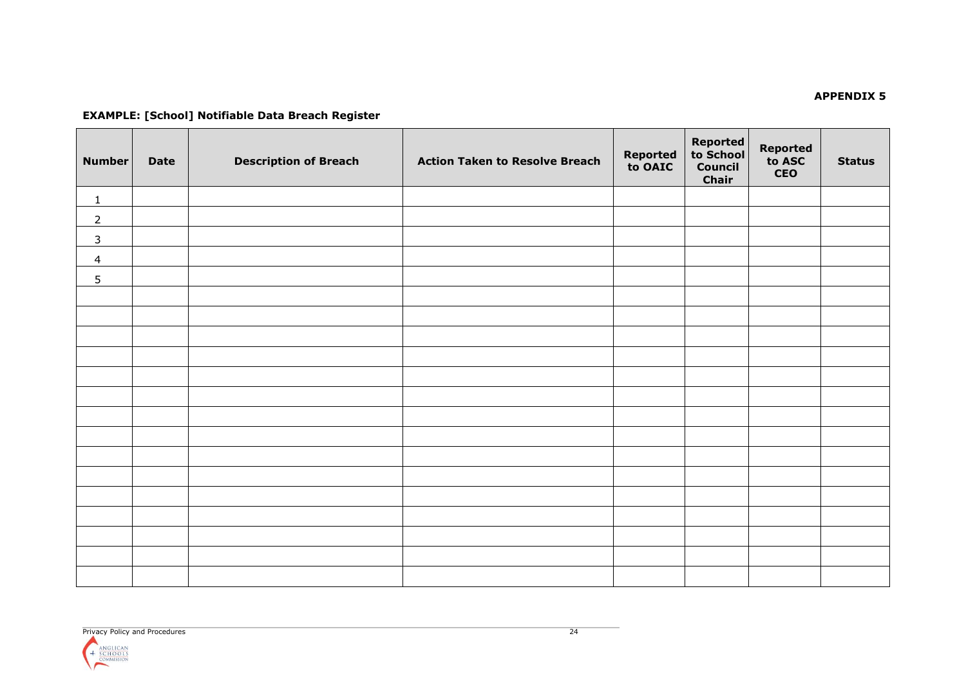#### **APPENDIX 5**

# **EXAMPLE: [School] Notifiable Data Breach Register**

| <b>Number</b>  | <b>Date</b> | <b>Description of Breach</b> | <b>Action Taken to Resolve Breach</b> | <b>Reported<br/>to OAIC</b> | Reported<br>to School<br>Council<br>Chair | <b>Reported<br/>to ASC</b><br><b>CEO</b> | <b>Status</b> |
|----------------|-------------|------------------------------|---------------------------------------|-----------------------------|-------------------------------------------|------------------------------------------|---------------|
| $\mathbf{1}$   |             |                              |                                       |                             |                                           |                                          |               |
| $\overline{2}$ |             |                              |                                       |                             |                                           |                                          |               |
| $\mathsf{3}$   |             |                              |                                       |                             |                                           |                                          |               |
| $\overline{4}$ |             |                              |                                       |                             |                                           |                                          |               |
| 5 <sup>5</sup> |             |                              |                                       |                             |                                           |                                          |               |
|                |             |                              |                                       |                             |                                           |                                          |               |
|                |             |                              |                                       |                             |                                           |                                          |               |
|                |             |                              |                                       |                             |                                           |                                          |               |
|                |             |                              |                                       |                             |                                           |                                          |               |
|                |             |                              |                                       |                             |                                           |                                          |               |
|                |             |                              |                                       |                             |                                           |                                          |               |
|                |             |                              |                                       |                             |                                           |                                          |               |
|                |             |                              |                                       |                             |                                           |                                          |               |
|                |             |                              |                                       |                             |                                           |                                          |               |
|                |             |                              |                                       |                             |                                           |                                          |               |
|                |             |                              |                                       |                             |                                           |                                          |               |
|                |             |                              |                                       |                             |                                           |                                          |               |
|                |             |                              |                                       |                             |                                           |                                          |               |
|                |             |                              |                                       |                             |                                           |                                          |               |
|                |             |                              |                                       |                             |                                           |                                          |               |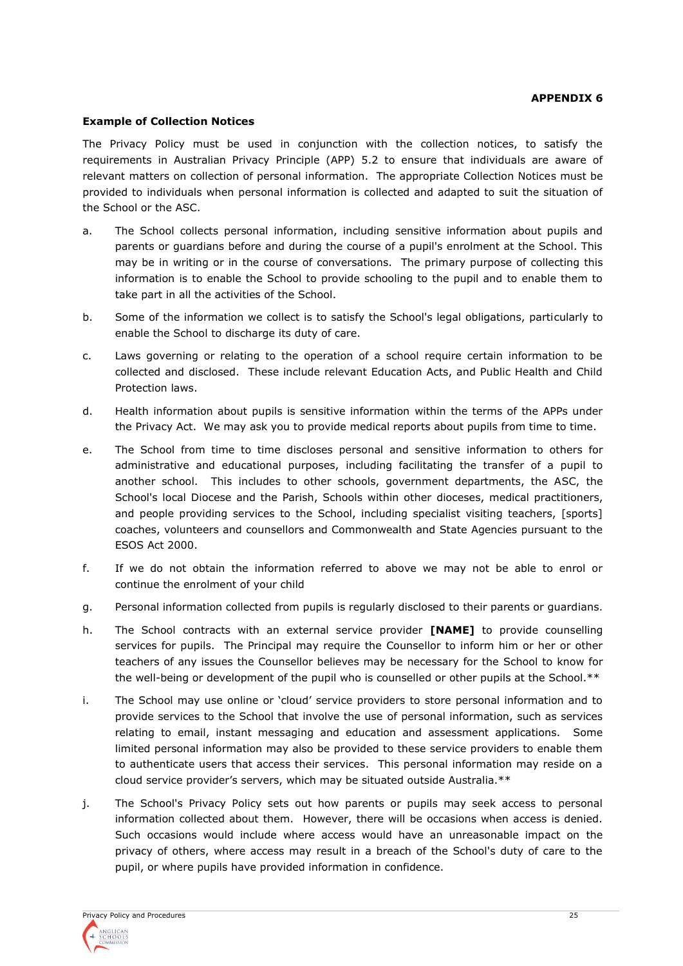#### **APPENDIX 6**

#### **Example of Collection Notices**

The Privacy Policy must be used in conjunction with the collection notices, to satisfy the requirements in Australian Privacy Principle (APP) 5.2 to ensure that individuals are aware of relevant matters on collection of personal information. The appropriate Collection Notices must be provided to individuals when personal information is collected and adapted to suit the situation of the School or the ASC.

- a. The School collects personal information, including sensitive information about pupils and parents or guardians before and during the course of a pupil's enrolment at the School. This may be in writing or in the course of conversations. The primary purpose of collecting this information is to enable the School to provide schooling to the pupil and to enable them to take part in all the activities of the School.
- b. Some of the information we collect is to satisfy the School's legal obligations, particularly to enable the School to discharge its duty of care.
- c. Laws governing or relating to the operation of a school require certain information to be collected and disclosed. These include relevant Education Acts, and Public Health and Child Protection laws.
- d. Health information about pupils is sensitive information within the terms of the APPs under the Privacy Act. We may ask you to provide medical reports about pupils from time to time.
- e. The School from time to time discloses personal and sensitive information to others for administrative and educational purposes, including facilitating the transfer of a pupil to another school. This includes to other schools, government departments, the ASC, the School's local Diocese and the Parish, Schools within other dioceses, medical practitioners, and people providing services to the School, including specialist visiting teachers, [sports] coaches, volunteers and counsellors and Commonwealth and State Agencies pursuant to the ESOS Act 2000.
- f. If we do not obtain the information referred to above we may not be able to enrol or continue the enrolment of your child
- g. Personal information collected from pupils is regularly disclosed to their parents or guardians.
- h. The School contracts with an external service provider **[NAME]** to provide counselling services for pupils. The Principal may require the Counsellor to inform him or her or other teachers of any issues the Counsellor believes may be necessary for the School to know for the well-being or development of the pupil who is counselled or other pupils at the School.\*\*
- i. The School may use online or 'cloud' service providers to store personal information and to provide services to the School that involve the use of personal information, such as services relating to email, instant messaging and education and assessment applications. Some limited personal information may also be provided to these service providers to enable them to authenticate users that access their services. This personal information may reside on a cloud service provider's servers, which may be situated outside Australia.\*\*
- j. The School's Privacy Policy sets out how parents or pupils may seek access to personal information collected about them. However, there will be occasions when access is denied. Such occasions would include where access would have an unreasonable impact on the privacy of others, where access may result in a breach of the School's duty of care to the pupil, or where pupils have provided information in confidence.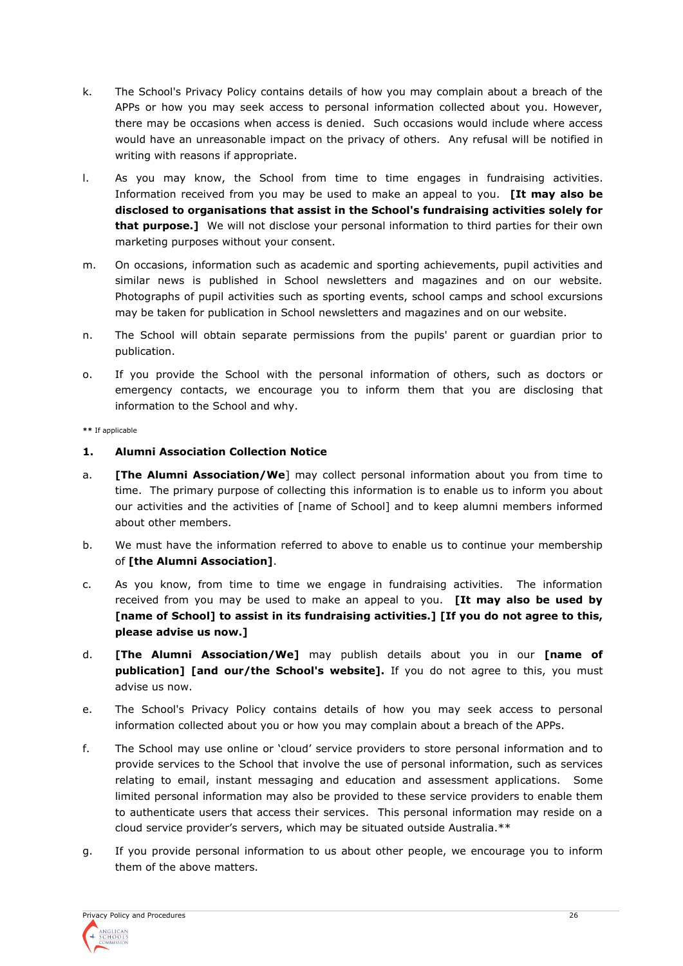- k. The School's Privacy Policy contains details of how you may complain about a breach of the APPs or how you may seek access to personal information collected about you. However, there may be occasions when access is denied. Such occasions would include where access would have an unreasonable impact on the privacy of others. Any refusal will be notified in writing with reasons if appropriate.
- l. As you may know, the School from time to time engages in fundraising activities. Information received from you may be used to make an appeal to you. **[It may also be disclosed to organisations that assist in the School's fundraising activities solely for that purpose.]** We will not disclose your personal information to third parties for their own marketing purposes without your consent.
- m. On occasions, information such as academic and sporting achievements, pupil activities and similar news is published in School newsletters and magazines and on our website. Photographs of pupil activities such as sporting events, school camps and school excursions may be taken for publication in School newsletters and magazines and on our website.
- n. The School will obtain separate permissions from the pupils' parent or guardian prior to publication.
- o. If you provide the School with the personal information of others, such as doctors or emergency contacts, we encourage you to inform them that you are disclosing that information to the School and why.

#### **\*\*** If applicable

# **1. Alumni Association Collection Notice**

- a. **[The Alumni Association/We**] may collect personal information about you from time to time. The primary purpose of collecting this information is to enable us to inform you about our activities and the activities of [name of School] and to keep alumni members informed about other members.
- b. We must have the information referred to above to enable us to continue your membership of **[the Alumni Association]**.
- c. As you know, from time to time we engage in fundraising activities. The information received from you may be used to make an appeal to you. **[It may also be used by [name of School] to assist in its fundraising activities.] [If you do not agree to this, please advise us now.]**
- d. **[The Alumni Association/We]** may publish details about you in our **[name of publication] [and our/the School's website].** If you do not agree to this, you must advise us now.
- e. The School's Privacy Policy contains details of how you may seek access to personal information collected about you or how you may complain about a breach of the APPs.
- f. The School may use online or 'cloud' service providers to store personal information and to provide services to the School that involve the use of personal information, such as services relating to email, instant messaging and education and assessment applications. Some limited personal information may also be provided to these service providers to enable them to authenticate users that access their services. This personal information may reside on a cloud service provider's servers, which may be situated outside Australia.\*\*
- g. If you provide personal information to us about other people, we encourage you to inform them of the above matters.

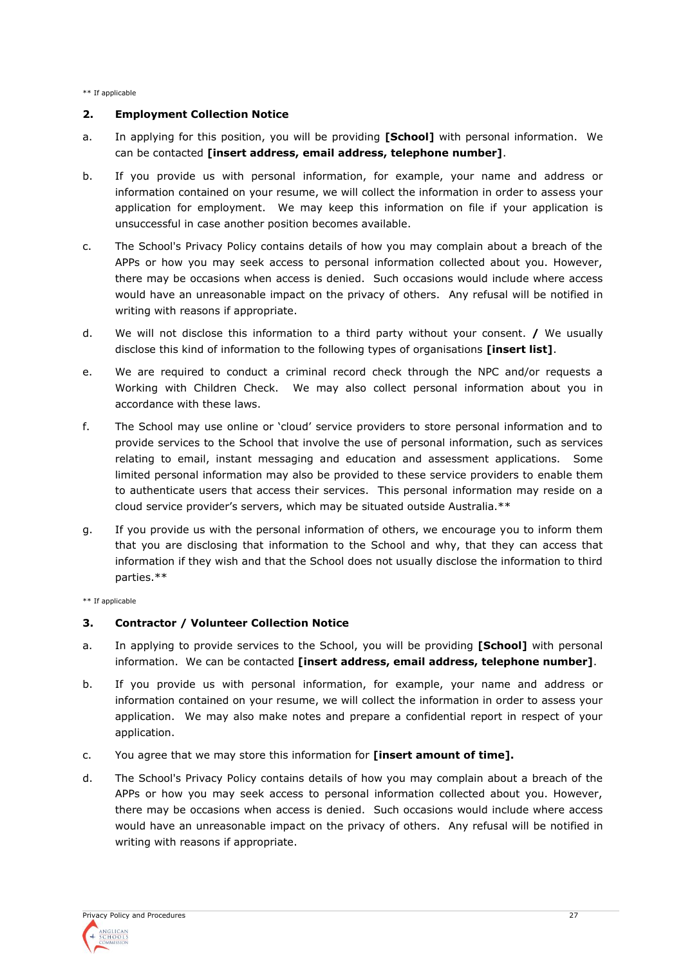\*\* If applicable

#### **2. Employment Collection Notice**

- a. In applying for this position, you will be providing **[School]** with personal information. We can be contacted **[insert address, email address, telephone number]**.
- b. If you provide us with personal information, for example, your name and address or information contained on your resume, we will collect the information in order to assess your application for employment. We may keep this information on file if your application is unsuccessful in case another position becomes available.
- c. The School's Privacy Policy contains details of how you may complain about a breach of the APPs or how you may seek access to personal information collected about you. However, there may be occasions when access is denied. Such occasions would include where access would have an unreasonable impact on the privacy of others. Any refusal will be notified in writing with reasons if appropriate.
- d. We will not disclose this information to a third party without your consent. **/** We usually disclose this kind of information to the following types of organisations **[insert list]**.
- e. We are required to conduct a criminal record check through the NPC and/or requests a Working with Children Check. We may also collect personal information about you in accordance with these laws.
- f. The School may use online or 'cloud' service providers to store personal information and to provide services to the School that involve the use of personal information, such as services relating to email, instant messaging and education and assessment applications. Some limited personal information may also be provided to these service providers to enable them to authenticate users that access their services. This personal information may reside on a cloud service provider's servers, which may be situated outside Australia.\*\*
- g. If you provide us with the personal information of others, we encourage you to inform them that you are disclosing that information to the School and why, that they can access that information if they wish and that the School does not usually disclose the information to third parties.\*\*

\*\* If applicable

# **3. Contractor / Volunteer Collection Notice**

- a. In applying to provide services to the School, you will be providing **[School]** with personal information. We can be contacted **[insert address, email address, telephone number]**.
- b. If you provide us with personal information, for example, your name and address or information contained on your resume, we will collect the information in order to assess your application. We may also make notes and prepare a confidential report in respect of your application.
- c. You agree that we may store this information for **[insert amount of time].**
- d. The School's Privacy Policy contains details of how you may complain about a breach of the APPs or how you may seek access to personal information collected about you. However, there may be occasions when access is denied. Such occasions would include where access would have an unreasonable impact on the privacy of others. Any refusal will be notified in writing with reasons if appropriate.